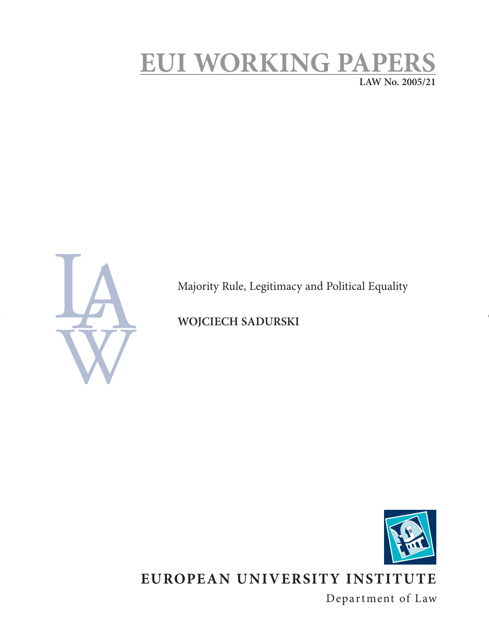# **EUI WORKING PAPERS LAW No. 2005/21**

Majority Rule, Legitimacy and Political Equality

**WOJCIECH SADURSKI**



**EUROPEAN UNIVERSITY INSTITUTE**

Department of Law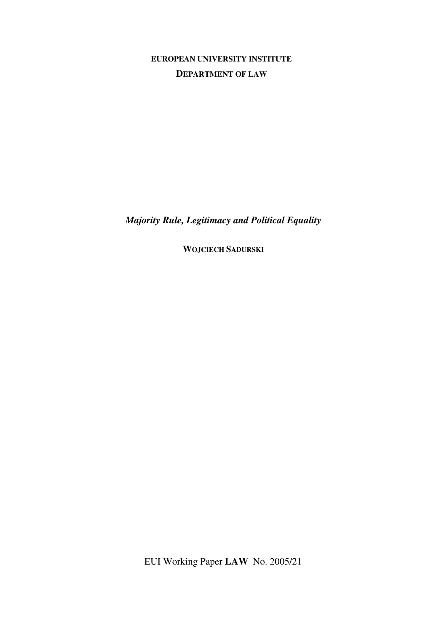# **EUROPEAN UNIVERSITY INSTITUTE DEPARTMENT OF LAW**

*Majority Rule, Legitimacy and Political Equality* 

**WOJCIECH SADURSKI**

EUI Working Paper **LAW** No. 2005/21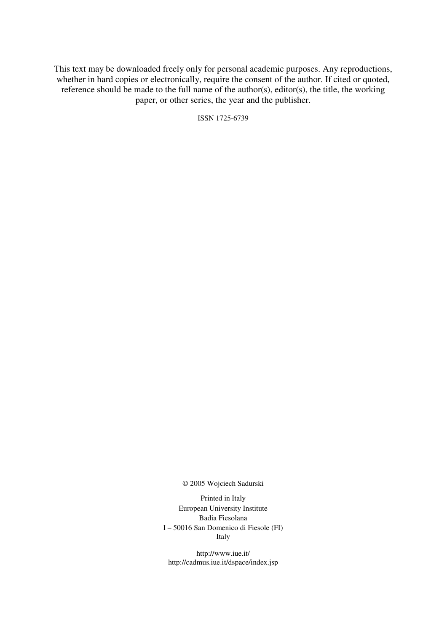This text may be downloaded freely only for personal academic purposes. Any reproductions, whether in hard copies or electronically, require the consent of the author. If cited or quoted, reference should be made to the full name of the author(s), editor(s), the title, the working paper, or other series, the year and the publisher.

ISSN 1725-6739

© 2005 Wojciech Sadurski

Printed in Italy European University Institute Badia Fiesolana I – 50016 San Domenico di Fiesole (FI) Italy

http://www.iue.it/ http://cadmus.iue.it/dspace/index.jsp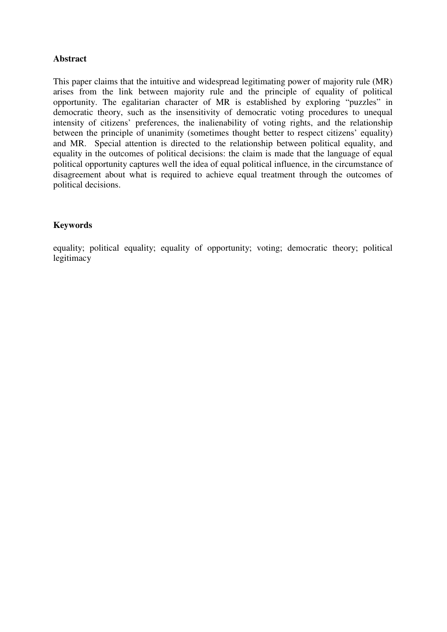## **Abstract**

This paper claims that the intuitive and widespread legitimating power of majority rule (MR) arises from the link between majority rule and the principle of equality of political opportunity. The egalitarian character of MR is established by exploring "puzzles" in democratic theory, such as the insensitivity of democratic voting procedures to unequal intensity of citizens' preferences, the inalienability of voting rights, and the relationship between the principle of unanimity (sometimes thought better to respect citizens' equality) and MR. Special attention is directed to the relationship between political equality, and equality in the outcomes of political decisions: the claim is made that the language of equal political opportunity captures well the idea of equal political influence, in the circumstance of disagreement about what is required to achieve equal treatment through the outcomes of political decisions.

### **Keywords**

equality; political equality; equality of opportunity; voting; democratic theory; political legitimacy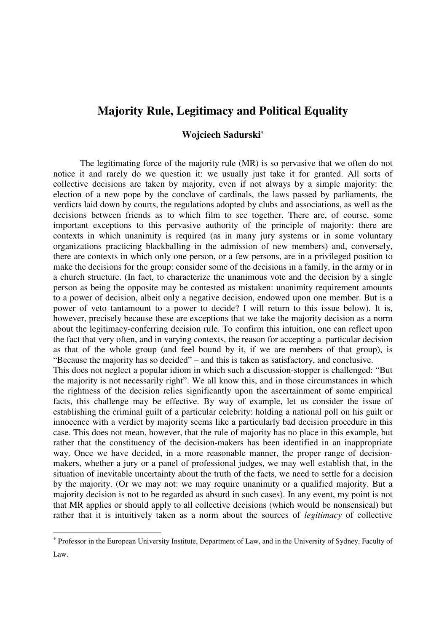# **Majority Rule, Legitimacy and Political Equality**

#### **Wojciech Sadurski\***

 The legitimating force of the majority rule (MR) is so pervasive that we often do not notice it and rarely do we question it: we usually just take it for granted. All sorts of collective decisions are taken by majority, even if not always by a simple majority: the election of a new pope by the conclave of cardinals, the laws passed by parliaments, the verdicts laid down by courts, the regulations adopted by clubs and associations, as well as the decisions between friends as to which film to see together. There are, of course, some important exceptions to this pervasive authority of the principle of majority: there are contexts in which unanimity is required (as in many jury systems or in some voluntary organizations practicing blackballing in the admission of new members) and, conversely, there are contexts in which only one person, or a few persons, are in a privileged position to make the decisions for the group: consider some of the decisions in a family, in the army or in a church structure. (In fact, to characterize the unanimous vote and the decision by a single person as being the opposite may be contested as mistaken: unanimity requirement amounts to a power of decision, albeit only a negative decision, endowed upon one member. But is a power of veto tantamount to a power to decide? I will return to this issue below). It is, however, precisely because these are exceptions that we take the majority decision as a norm about the legitimacy-conferring decision rule. To confirm this intuition, one can reflect upon the fact that very often, and in varying contexts, the reason for accepting a particular decision as that of the whole group (and feel bound by it, if we are members of that group), is "Because the majority has so decided" – and this is taken as satisfactory, and conclusive. This does not neglect a popular idiom in which such a discussion-stopper is challenged: "But the majority is not necessarily right". We all know this, and in those circumstances in which the rightness of the decision relies significantly upon the ascertainment of some empirical facts, this challenge may be effective. By way of example, let us consider the issue of establishing the criminal guilt of a particular celebrity: holding a national poll on his guilt or innocence with a verdict by majority seems like a particularly bad decision procedure in this case. This does not mean, however, that the rule of majority has no place in this example, but rather that the constituency of the decision-makers has been identified in an inappropriate way. Once we have decided, in a more reasonable manner, the proper range of decisionmakers, whether a jury or a panel of professional judges, we may well establish that, in the situation of inevitable uncertainty about the truth of the facts, we need to settle for a decision by the majority. (Or we may not: we may require unanimity or a qualified majority. But a majority decision is not to be regarded as absurd in such cases). In any event, my point is not that MR applies or should apply to all collective decisions (which would be nonsensical) but rather that it is intuitively taken as a norm about the sources of *legitimacy* of collective

<sup>\*</sup> Professor in the European University Institute, Department of Law, and in the University of Sydney, Faculty of Law.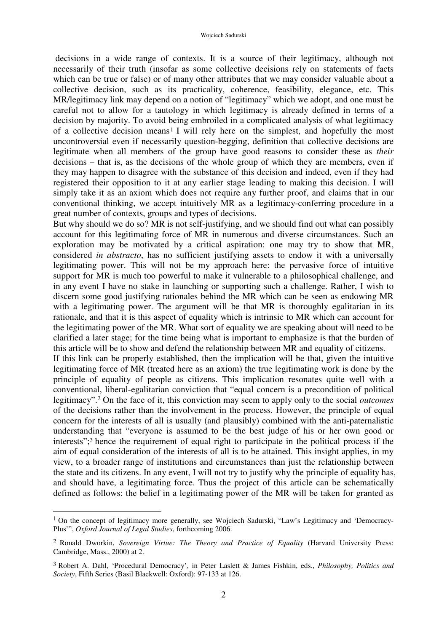decisions in a wide range of contexts. It is a source of their legitimacy, although not necessarily of their truth (insofar as some collective decisions rely on statements of facts which can be true or false) or of many other attributes that we may consider valuable about a collective decision, such as its practicality, coherence, feasibility, elegance, etc. This MR/legitimacy link may depend on a notion of "legitimacy" which we adopt, and one must be careful not to allow for a tautology in which legitimacy is already defined in terms of a decision by majority. To avoid being embroiled in a complicated analysis of what legitimacy of a collective decision means<sup>1</sup> I will rely here on the simplest, and hopefully the most uncontroversial even if necessarily question-begging, definition that collective decisions are legitimate when all members of the group have good reasons to consider these as *their* decisions – that is, as the decisions of the whole group of which they are members, even if they may happen to disagree with the substance of this decision and indeed, even if they had registered their opposition to it at any earlier stage leading to making this decision. I will simply take it as an axiom which does not require any further proof, and claims that in our conventional thinking, we accept intuitively MR as a legitimacy-conferring procedure in a great number of contexts, groups and types of decisions.

But why should we do so? MR is not self-justifying, and we should find out what can possibly account for this legitimating force of MR in numerous and diverse circumstances. Such an exploration may be motivated by a critical aspiration: one may try to show that MR, considered *in abstracto*, has no sufficient justifying assets to endow it with a universally legitimating power. This will not be my approach here: the pervasive force of intuitive support for MR is much too powerful to make it vulnerable to a philosophical challenge, and in any event I have no stake in launching or supporting such a challenge. Rather, I wish to discern some good justifying rationales behind the MR which can be seen as endowing MR with a legitimating power. The argument will be that MR is thoroughly egalitarian in its rationale, and that it is this aspect of equality which is intrinsic to MR which can account for the legitimating power of the MR. What sort of equality we are speaking about will need to be clarified a later stage; for the time being what is important to emphasize is that the burden of this article will be to show and defend the relationship between MR and equality of citizens.

If this link can be properly established, then the implication will be that, given the intuitive legitimating force of MR (treated here as an axiom) the true legitimating work is done by the principle of equality of people as citizens. This implication resonates quite well with a conventional, liberal-egalitarian conviction that "equal concern is a precondition of political legitimacy".2 On the face of it, this conviction may seem to apply only to the social *outcomes*  of the decisions rather than the involvement in the process. However, the principle of equal concern for the interests of all is usually (and plausibly) combined with the anti-paternalistic understanding that "everyone is assumed to be the best judge of his or her own good or interests";3 hence the requirement of equal right to participate in the political process if the aim of equal consideration of the interests of all is to be attained. This insight applies, in my view, to a broader range of institutions and circumstances than just the relationship between the state and its citizens. In any event, I will not try to justify why the principle of equality has, and should have, a legitimating force. Thus the project of this article can be schematically defined as follows: the belief in a legitimating power of the MR will be taken for granted as

<sup>1</sup> On the concept of legitimacy more generally, see Wojciech Sadurski, "Law's Legitimacy and 'Democracy-Plus'", *Oxford Journal of Legal Studies*, forthcoming 2006.

<sup>2</sup> Ronald Dworkin, *Sovereign Virtue: The Theory and Practice of Equality* (Harvard University Press: Cambridge, Mass., 2000) at 2.

<sup>3</sup> Robert A. Dahl, 'Procedural Democracy', in Peter Laslett & James Fishkin, eds., *Philosophy, Politics and Society*, Fifth Series (Basil Blackwell: Oxford): 97-133 at 126.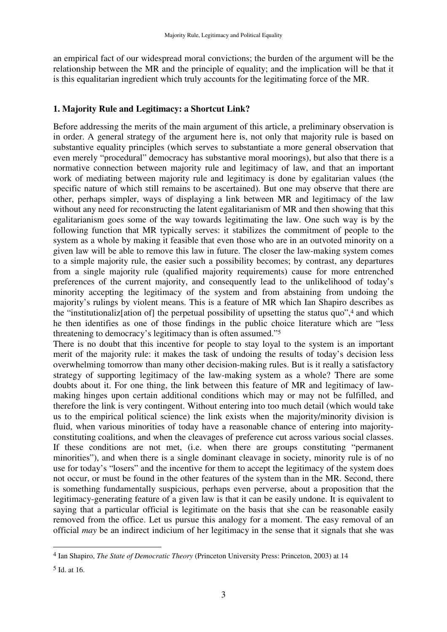an empirical fact of our widespread moral convictions; the burden of the argument will be the relationship between the MR and the principle of equality; and the implication will be that it is this equalitarian ingredient which truly accounts for the legitimating force of the MR.

#### **1. Majority Rule and Legitimacy: a Shortcut Link?**

Before addressing the merits of the main argument of this article, a preliminary observation is in order. A general strategy of the argument here is, not only that majority rule is based on substantive equality principles (which serves to substantiate a more general observation that even merely "procedural" democracy has substantive moral moorings), but also that there is a normative connection between majority rule and legitimacy of law, and that an important work of mediating between majority rule and legitimacy is done by egalitarian values (the specific nature of which still remains to be ascertained). But one may observe that there are other, perhaps simpler, ways of displaying a link between MR and legitimacy of the law without any need for reconstructing the latent egalitarianism of MR and then showing that this egalitarianism goes some of the way towards legitimating the law. One such way is by the following function that MR typically serves: it stabilizes the commitment of people to the system as a whole by making it feasible that even those who are in an outvoted minority on a given law will be able to remove this law in future. The closer the law-making system comes to a simple majority rule, the easier such a possibility becomes; by contrast, any departures from a single majority rule (qualified majority requirements) cause for more entrenched preferences of the current majority, and consequently lead to the unlikelihood of today's minority accepting the legitimacy of the system and from abstaining from undoing the majority's rulings by violent means. This is a feature of MR which Ian Shapiro describes as the "institutionaliz[ation of] the perpetual possibility of upsetting the status quo",4 and which he then identifies as one of those findings in the public choice literature which are "less threatening to democracy's legitimacy than is often assumed."<sup>5</sup>

There is no doubt that this incentive for people to stay loyal to the system is an important merit of the majority rule: it makes the task of undoing the results of today's decision less overwhelming tomorrow than many other decision-making rules. But is it really a satisfactory strategy of supporting legitimacy of the law-making system as a whole? There are some doubts about it. For one thing, the link between this feature of MR and legitimacy of lawmaking hinges upon certain additional conditions which may or may not be fulfilled, and therefore the link is very contingent. Without entering into too much detail (which would take us to the empirical political science) the link exists when the majority/minority division is fluid, when various minorities of today have a reasonable chance of entering into majorityconstituting coalitions, and when the cleavages of preference cut across various social classes. If these conditions are not met, (i.e. when there are groups constituting "permanent minorities"), and when there is a single dominant cleavage in society, minority rule is of no use for today's "losers" and the incentive for them to accept the legitimacy of the system does not occur, or must be found in the other features of the system than in the MR. Second, there is something fundamentally suspicious, perhaps even perverse, about a proposition that the legitimacy-generating feature of a given law is that it can be easily undone. It is equivalent to saying that a particular official is legitimate on the basis that she can be reasonable easily removed from the office. Let us pursue this analogy for a moment. The easy removal of an official *may* be an indirect indicium of her legitimacy in the sense that it signals that she was

<sup>4</sup> Ian Shapiro, *The State of Democratic Theory* (Princeton University Press: Princeton, 2003) at 14

<sup>5</sup> Id. at 16.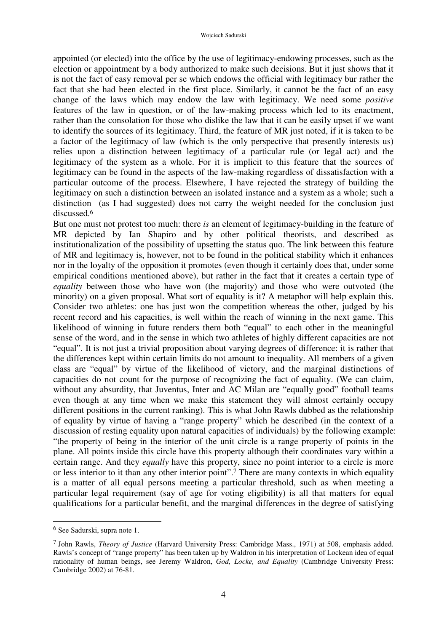appointed (or elected) into the office by the use of legitimacy-endowing processes, such as the election or appointment by a body authorized to make such decisions. But it just shows that it is not the fact of easy removal per se which endows the official with legitimacy bur rather the fact that she had been elected in the first place. Similarly, it cannot be the fact of an easy change of the laws which may endow the law with legitimacy. We need some *positive* features of the law in question, or of the law-making process which led to its enactment, rather than the consolation for those who dislike the law that it can be easily upset if we want to identify the sources of its legitimacy. Third, the feature of MR just noted, if it is taken to be a factor of the legitimacy of law (which is the only perspective that presently interests us) relies upon a distinction between legitimacy of a particular rule (or legal act) and the legitimacy of the system as a whole. For it is implicit to this feature that the sources of legitimacy can be found in the aspects of the law-making regardless of dissatisfaction with a particular outcome of the process. Elsewhere, I have rejected the strategy of building the legitimacy on such a distinction between an isolated instance and a system as a whole; such a distinction (as I had suggested) does not carry the weight needed for the conclusion just discussed.<sup>6</sup>

But one must not protest too much: there *is* an element of legitimacy-building in the feature of MR depicted by Ian Shapiro and by other political theorists, and described as institutionalization of the possibility of upsetting the status quo. The link between this feature of MR and legitimacy is, however, not to be found in the political stability which it enhances nor in the loyalty of the opposition it promotes (even though it certainly does that, under some empirical conditions mentioned above), but rather in the fact that it creates a certain type of *equality* between those who have won (the majority) and those who were outvoted (the minority) on a given proposal. What sort of equality is it? A metaphor will help explain this. Consider two athletes: one has just won the competition whereas the other, judged by his recent record and his capacities, is well within the reach of winning in the next game. This likelihood of winning in future renders them both "equal" to each other in the meaningful sense of the word, and in the sense in which two athletes of highly different capacities are not "equal". It is not just a trivial proposition about varying degrees of difference: it is rather that the differences kept within certain limits do not amount to inequality. All members of a given class are "equal" by virtue of the likelihood of victory, and the marginal distinctions of capacities do not count for the purpose of recognizing the fact of equality. (We can claim, without any absurdity, that Juventus, Inter and AC Milan are "equally good" football teams even though at any time when we make this statement they will almost certainly occupy different positions in the current ranking). This is what John Rawls dubbed as the relationship of equality by virtue of having a "range property" which he described (in the context of a discussion of resting equality upon natural capacities of individuals) by the following example: "the property of being in the interior of the unit circle is a range property of points in the plane. All points inside this circle have this property although their coordinates vary within a certain range. And they *equally* have this property, since no point interior to a circle is more or less interior to it than any other interior point".7 There are many contexts in which equality is a matter of all equal persons meeting a particular threshold, such as when meeting a particular legal requirement (say of age for voting eligibility) is all that matters for equal qualifications for a particular benefit, and the marginal differences in the degree of satisfying

<sup>6</sup> See Sadurski, supra note 1.

<sup>7</sup> John Rawls, *Theory of Justice* (Harvard University Press: Cambridge Mass., 1971) at 508, emphasis added. Rawls's concept of "range property" has been taken up by Waldron in his interpretation of Lockean idea of equal rationality of human beings, see Jeremy Waldron, *God, Locke, and Equality* (Cambridge University Press: Cambridge 2002) at 76-81.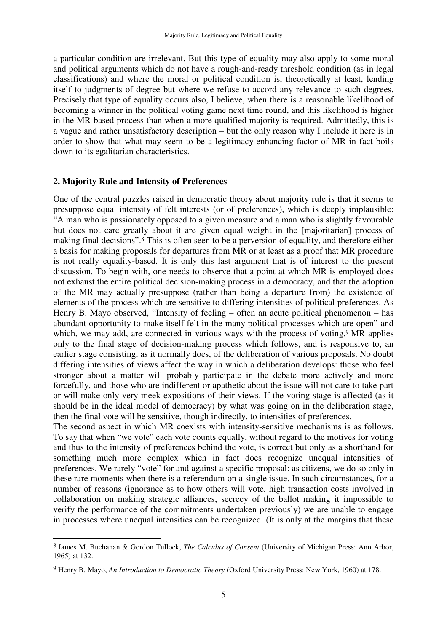a particular condition are irrelevant. But this type of equality may also apply to some moral and political arguments which do not have a rough-and-ready threshold condition (as in legal classifications) and where the moral or political condition is, theoretically at least, lending itself to judgments of degree but where we refuse to accord any relevance to such degrees. Precisely that type of equality occurs also, I believe, when there is a reasonable likelihood of becoming a winner in the political voting game next time round, and this likelihood is higher in the MR-based process than when a more qualified majority is required. Admittedly, this is a vague and rather unsatisfactory description – but the only reason why I include it here is in order to show that what may seem to be a legitimacy-enhancing factor of MR in fact boils down to its egalitarian characteristics.

#### **2. Majority Rule and Intensity of Preferences**

-

One of the central puzzles raised in democratic theory about majority rule is that it seems to presuppose equal intensity of felt interests (or of preferences), which is deeply implausible: "A man who is passionately opposed to a given measure and a man who is slightly favourable but does not care greatly about it are given equal weight in the [majoritarian] process of making final decisions".8 This is often seen to be a perversion of equality, and therefore either a basis for making proposals for departures from MR or at least as a proof that MR procedure is not really equality-based. It is only this last argument that is of interest to the present discussion. To begin with, one needs to observe that a point at which MR is employed does not exhaust the entire political decision-making process in a democracy, and that the adoption of the MR may actually presuppose (rather than being a departure from) the existence of elements of the process which are sensitive to differing intensities of political preferences. As Henry B. Mayo observed, "Intensity of feeling – often an acute political phenomenon – has abundant opportunity to make itself felt in the many political processes which are open" and which, we may add, are connected in various ways with the process of voting.<sup>9</sup> MR applies only to the final stage of decision-making process which follows, and is responsive to, an earlier stage consisting, as it normally does, of the deliberation of various proposals. No doubt differing intensities of views affect the way in which a deliberation develops: those who feel stronger about a matter will probably participate in the debate more actively and more forcefully, and those who are indifferent or apathetic about the issue will not care to take part or will make only very meek expositions of their views. If the voting stage is affected (as it should be in the ideal model of democracy) by what was going on in the deliberation stage, then the final vote will be sensitive, though indirectly, to intensities of preferences.

The second aspect in which MR coexists with intensity-sensitive mechanisms is as follows. To say that when "we vote" each vote counts equally, without regard to the motives for voting and thus to the intensity of preferences behind the vote, is correct but only as a shorthand for something much more complex which in fact does recognize unequal intensities of preferences. We rarely "vote" for and against a specific proposal: as citizens, we do so only in these rare moments when there is a referendum on a single issue. In such circumstances, for a number of reasons (ignorance as to how others will vote, high transaction costs involved in collaboration on making strategic alliances, secrecy of the ballot making it impossible to verify the performance of the commitments undertaken previously) we are unable to engage in processes where unequal intensities can be recognized. (It is only at the margins that these

<sup>8</sup> James M. Buchanan & Gordon Tullock, *The Calculus of Consent* (University of Michigan Press: Ann Arbor, 1965) at 132.

<sup>9</sup> Henry B. Mayo, *An Introduction to Democratic Theory* (Oxford University Press: New York, 1960) at 178.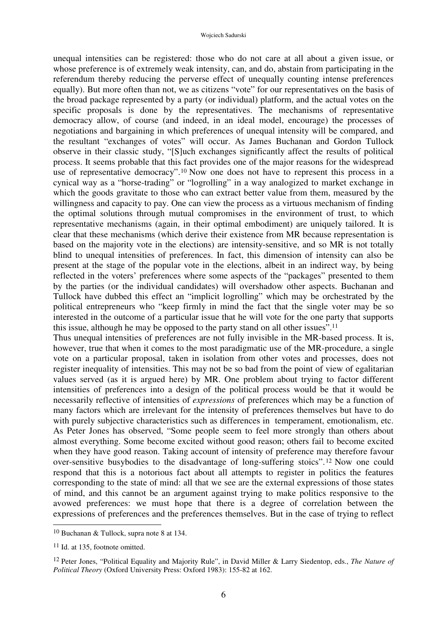unequal intensities can be registered: those who do not care at all about a given issue, or whose preference is of extremely weak intensity, can, and do, abstain from participating in the referendum thereby reducing the perverse effect of unequally counting intense preferences equally). But more often than not, we as citizens "vote" for our representatives on the basis of the broad package represented by a party (or individual) platform, and the actual votes on the specific proposals is done by the representatives. The mechanisms of representative democracy allow, of course (and indeed, in an ideal model, encourage) the processes of negotiations and bargaining in which preferences of unequal intensity will be compared, and the resultant "exchanges of votes" will occur. As James Buchanan and Gordon Tullock observe in their classic study, "[S]uch exchanges significantly affect the results of political process. It seems probable that this fact provides one of the major reasons for the widespread use of representative democracy".10 Now one does not have to represent this process in a cynical way as a "horse-trading" or "logrolling" in a way analogized to market exchange in which the goods gravitate to those who can extract better value from them, measured by the willingness and capacity to pay. One can view the process as a virtuous mechanism of finding the optimal solutions through mutual compromises in the environment of trust, to which representative mechanisms (again, in their optimal embodiment) are uniquely tailored. It is clear that these mechanisms (which derive their existence from MR because representation is based on the majority vote in the elections) are intensity-sensitive, and so MR is not totally blind to unequal intensities of preferences. In fact, this dimension of intensity can also be present at the stage of the popular vote in the elections, albeit in an indirect way, by being reflected in the voters' preferences where some aspects of the "packages" presented to them by the parties (or the individual candidates) will overshadow other aspects. Buchanan and Tullock have dubbed this effect an "implicit logrolling" which may be orchestrated by the political entrepreneurs who "keep firmly in mind the fact that the single voter may be so interested in the outcome of a particular issue that he will vote for the one party that supports this issue, although he may be opposed to the party stand on all other issues".<sup>11</sup>

Thus unequal intensities of preferences are not fully invisible in the MR-based process. It is, however, true that when it comes to the most paradigmatic use of the MR-procedure, a single vote on a particular proposal, taken in isolation from other votes and processes, does not register inequality of intensities. This may not be so bad from the point of view of egalitarian values served (as it is argued here) by MR. One problem about trying to factor different intensities of preferences into a design of the political process would be that it would be necessarily reflective of intensities of *expressions* of preferences which may be a function of many factors which are irrelevant for the intensity of preferences themselves but have to do with purely subjective characteristics such as differences in temperament, emotionalism, etc. As Peter Jones has observed, "Some people seem to feel more strongly than others about almost everything. Some become excited without good reason; others fail to become excited when they have good reason. Taking account of intensity of preference may therefore favour over-sensitive busybodies to the disadvantage of long-suffering stoics".12 Now one could respond that this is a notorious fact about all attempts to register in politics the features corresponding to the state of mind: all that we see are the external expressions of those states of mind, and this cannot be an argument against trying to make politics responsive to the avowed preferences: we must hope that there is a degree of correlation between the expressions of preferences and the preferences themselves. But in the case of trying to reflect

<sup>10</sup> Buchanan & Tullock, supra note 8 at 134.

<sup>11</sup> Id. at 135, footnote omitted.

<sup>12</sup> Peter Jones, "Political Equality and Majority Rule", in David Miller & Larry Siedentop, eds., *The Nature of Political Theory* (Oxford University Press: Oxford 1983): 155-82 at 162.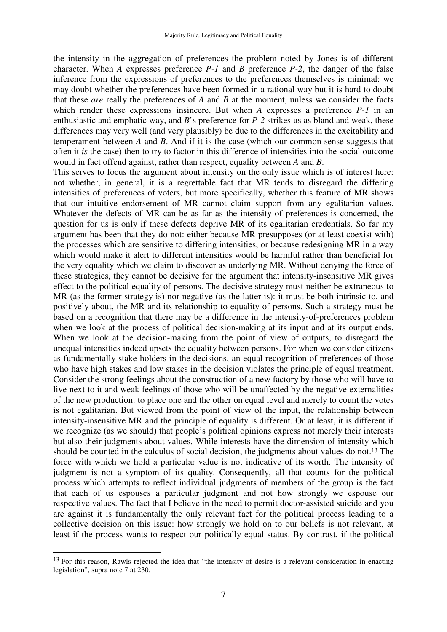the intensity in the aggregation of preferences the problem noted by Jones is of different character. When *A* expresses preference *P-1* and *B* preference *P-2*, the danger of the false inference from the expressions of preferences to the preferences themselves is minimal: we may doubt whether the preferences have been formed in a rational way but it is hard to doubt that these *are* really the preferences of *A* and *B* at the moment, unless we consider the facts which render these expressions insincere. But when *A* expresses a preference *P-1* in an enthusiastic and emphatic way, and *B*'s preference for *P-2* strikes us as bland and weak, these differences may very well (and very plausibly) be due to the differences in the excitability and temperament between *A* and *B*. And if it is the case (which our common sense suggests that often it *is* the case) then to try to factor in this difference of intensities into the social outcome would in fact offend against, rather than respect, equality between *A* and *B*.

This serves to focus the argument about intensity on the only issue which is of interest here: not whether, in general, it is a regrettable fact that MR tends to disregard the differing intensities of preferences of voters, but more specifically, whether this feature of MR shows that our intuitive endorsement of MR cannot claim support from any egalitarian values. Whatever the defects of MR can be as far as the intensity of preferences is concerned, the question for us is only if these defects deprive MR of its egalitarian credentials. So far my argument has been that they do not: either because MR presupposes (or at least coexist with) the processes which are sensitive to differing intensities, or because redesigning MR in a way which would make it alert to different intensities would be harmful rather than beneficial for the very equality which we claim to discover as underlying MR. Without denying the force of these strategies, they cannot be decisive for the argument that intensity-insensitive MR gives effect to the political equality of persons. The decisive strategy must neither be extraneous to MR (as the former strategy is) nor negative (as the latter is): it must be both intrinsic to, and positively about, the MR and its relationship to equality of persons. Such a strategy must be based on a recognition that there may be a difference in the intensity-of-preferences problem when we look at the process of political decision-making at its input and at its output ends. When we look at the decision-making from the point of view of outputs, to disregard the unequal intensities indeed upsets the equality between persons. For when we consider citizens as fundamentally stake-holders in the decisions, an equal recognition of preferences of those who have high stakes and low stakes in the decision violates the principle of equal treatment. Consider the strong feelings about the construction of a new factory by those who will have to live next to it and weak feelings of those who will be unaffected by the negative externalities of the new production: to place one and the other on equal level and merely to count the votes is not egalitarian. But viewed from the point of view of the input, the relationship between intensity-insensitive MR and the principle of equality is different. Or at least, it is different if we recognize (as we should) that people's political opinions express not merely their interests but also their judgments about values. While interests have the dimension of intensity which should be counted in the calculus of social decision, the judgments about values do not.13 The force with which we hold a particular value is not indicative of its worth. The intensity of judgment is not a symptom of its quality. Consequently, all that counts for the political process which attempts to reflect individual judgments of members of the group is the fact that each of us espouses a particular judgment and not how strongly we espouse our respective values. The fact that I believe in the need to permit doctor-assisted suicide and you are against it is fundamentally the only relevant fact for the political process leading to a collective decision on this issue: how strongly we hold on to our beliefs is not relevant, at least if the process wants to respect our politically equal status. By contrast, if the political

 $13$  For this reason, Rawls rejected the idea that "the intensity of desire is a relevant consideration in enacting legislation", supra note 7 at 230.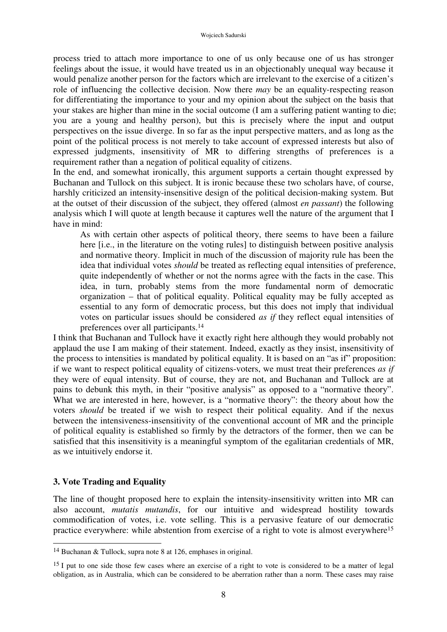process tried to attach more importance to one of us only because one of us has stronger feelings about the issue, it would have treated us in an objectionably unequal way because it would penalize another person for the factors which are irrelevant to the exercise of a citizen's role of influencing the collective decision. Now there *may* be an equality-respecting reason for differentiating the importance to your and my opinion about the subject on the basis that your stakes are higher than mine in the social outcome (I am a suffering patient wanting to die; you are a young and healthy person), but this is precisely where the input and output perspectives on the issue diverge. In so far as the input perspective matters, and as long as the point of the political process is not merely to take account of expressed interests but also of expressed judgments, insensitivity of MR to differing strengths of preferences is a requirement rather than a negation of political equality of citizens.

In the end, and somewhat ironically, this argument supports a certain thought expressed by Buchanan and Tullock on this subject. It is ironic because these two scholars have, of course, harshly criticized an intensity-insensitive design of the political decision-making system. But at the outset of their discussion of the subject, they offered (almost *en passant*) the following analysis which I will quote at length because it captures well the nature of the argument that I have in mind:

As with certain other aspects of political theory, there seems to have been a failure here [i.e., in the literature on the voting rules] to distinguish between positive analysis and normative theory. Implicit in much of the discussion of majority rule has been the idea that individual votes *should* be treated as reflecting equal intensities of preference, quite independently of whether or not the norms agree with the facts in the case. This idea, in turn, probably stems from the more fundamental norm of democratic organization – that of political equality. Political equality may be fully accepted as essential to any form of democratic process, but this does not imply that individual votes on particular issues should be considered *as if* they reflect equal intensities of preferences over all participants.<sup>14</sup>

I think that Buchanan and Tullock have it exactly right here although they would probably not applaud the use I am making of their statement. Indeed, exactly as they insist, insensitivity of the process to intensities is mandated by political equality. It is based on an "as if" proposition: if we want to respect political equality of citizens-voters, we must treat their preferences *as if* they were of equal intensity. But of course, they are not, and Buchanan and Tullock are at pains to debunk this myth, in their "positive analysis" as opposed to a "normative theory". What we are interested in here, however, is a "normative theory": the theory about how the voters *should* be treated if we wish to respect their political equality. And if the nexus between the intensiveness-insensitivity of the conventional account of MR and the principle of political equality is established so firmly by the detractors of the former, then we can be satisfied that this insensitivity is a meaningful symptom of the egalitarian credentials of MR, as we intuitively endorse it.

#### **3. Vote Trading and Equality**

-

The line of thought proposed here to explain the intensity-insensitivity written into MR can also account, *mutatis mutandis*, for our intuitive and widespread hostility towards commodification of votes, i.e. vote selling. This is a pervasive feature of our democratic practice everywhere: while abstention from exercise of a right to vote is almost everywhere<sup>15</sup>

<sup>14</sup> Buchanan & Tullock, supra note 8 at 126, emphases in original.

<sup>&</sup>lt;sup>15</sup> I put to one side those few cases where an exercise of a right to vote is considered to be a matter of legal obligation, as in Australia, which can be considered to be aberration rather than a norm. These cases may raise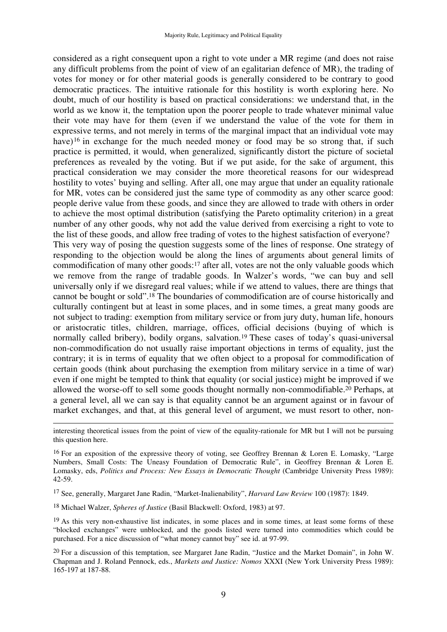considered as a right consequent upon a right to vote under a MR regime (and does not raise any difficult problems from the point of view of an egalitarian defence of MR), the trading of votes for money or for other material goods is generally considered to be contrary to good democratic practices. The intuitive rationale for this hostility is worth exploring here. No doubt, much of our hostility is based on practical considerations: we understand that, in the world as we know it, the temptation upon the poorer people to trade whatever minimal value their vote may have for them (even if we understand the value of the vote for them in expressive terms, and not merely in terms of the marginal impact that an individual vote may have)<sup>16</sup> in exchange for the much needed money or food may be so strong that, if such practice is permitted, it would, when generalized, significantly distort the picture of societal preferences as revealed by the voting. But if we put aside, for the sake of argument, this practical consideration we may consider the more theoretical reasons for our widespread hostility to votes' buying and selling. After all, one may argue that under an equality rationale for MR, votes can be considered just the same type of commodity as any other scarce good: people derive value from these goods, and since they are allowed to trade with others in order to achieve the most optimal distribution (satisfying the Pareto optimality criterion) in a great number of any other goods, why not add the value derived from exercising a right to vote to the list of these goods, and allow free trading of votes to the highest satisfaction of everyone? This very way of posing the question suggests some of the lines of response. One strategy of responding to the objection would be along the lines of arguments about general limits of commodification of many other goods:17 after all, votes are not the only valuable goods which we remove from the range of tradable goods. In Walzer's words, "we can buy and sell universally only if we disregard real values; while if we attend to values, there are things that cannot be bought or sold".18 The boundaries of commodification are of course historically and culturally contingent but at least in some places, and in some times, a great many goods are not subject to trading: exemption from military service or from jury duty, human life, honours or aristocratic titles, children, marriage, offices, official decisions (buying of which is normally called bribery), bodily organs, salvation.<sup>19</sup> These cases of today's quasi-universal non-commodification do not usually raise important objections in terms of equality, just the contrary; it is in terms of equality that we often object to a proposal for commodification of certain goods (think about purchasing the exemption from military service in a time of war) even if one might be tempted to think that equality (or social justice) might be improved if we allowed the worse-off to sell some goods thought normally non-commodifiable.20 Perhaps, at a general level, all we can say is that equality cannot be an argument against or in favour of market exchanges, and that, at this general level of argument, we must resort to other, non-

<sup>18</sup> Michael Walzer, *Spheres of Justice* (Basil Blackwell: Oxford, 1983) at 97.

interesting theoretical issues from the point of view of the equality-rationale for MR but I will not be pursuing this question here.

<sup>16</sup> For an exposition of the expressive theory of voting, see Geoffrey Brennan & Loren E. Lomasky, "Large Numbers, Small Costs: The Uneasy Foundation of Democratic Rule", in Geoffrey Brennan & Loren E. Lomasky, eds, *Politics and Process: New Essays in Democratic Thought* (Cambridge University Press 1989): 42-59.

<sup>17</sup> See, generally, Margaret Jane Radin, "Market-Inalienability", *Harvard Law Review* 100 (1987): 1849.

<sup>&</sup>lt;sup>19</sup> As this very non-exhaustive list indicates, in some places and in some times, at least some forms of these "blocked exchanges" were unblocked, and the goods listed were turned into commodities which could be purchased. For a nice discussion of "what money cannot buy" see id. at 97-99.

<sup>20</sup> For a discussion of this temptation, see Margaret Jane Radin, "Justice and the Market Domain", in John W. Chapman and J. Roland Pennock, eds., *Markets and Justice: Nomos* XXXI (New York University Press 1989): 165-197 at 187-88.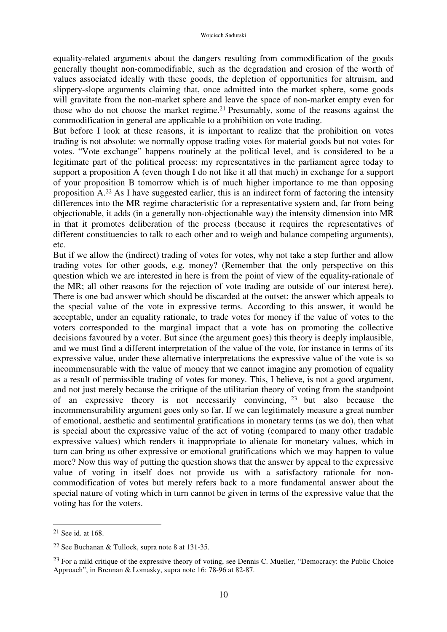equality-related arguments about the dangers resulting from commodification of the goods generally thought non-commodifiable, such as the degradation and erosion of the worth of values associated ideally with these goods, the depletion of opportunities for altruism, and slippery-slope arguments claiming that, once admitted into the market sphere, some goods will gravitate from the non-market sphere and leave the space of non-market empty even for those who do not choose the market regime.21 Presumably, some of the reasons against the commodification in general are applicable to a prohibition on vote trading.

But before I look at these reasons, it is important to realize that the prohibition on votes trading is not absolute: we normally oppose trading votes for material goods but not votes for votes. "Vote exchange" happens routinely at the political level, and is considered to be a legitimate part of the political process: my representatives in the parliament agree today to support a proposition A (even though I do not like it all that much) in exchange for a support of your proposition B tomorrow which is of much higher importance to me than opposing proposition A.22 As I have suggested earlier, this is an indirect form of factoring the intensity differences into the MR regime characteristic for a representative system and, far from being objectionable, it adds (in a generally non-objectionable way) the intensity dimension into MR in that it promotes deliberation of the process (because it requires the representatives of different constituencies to talk to each other and to weigh and balance competing arguments), etc.

But if we allow the (indirect) trading of votes for votes, why not take a step further and allow trading votes for other goods, e.g. money? (Remember that the only perspective on this question which we are interested in here is from the point of view of the equality-rationale of the MR; all other reasons for the rejection of vote trading are outside of our interest here). There is one bad answer which should be discarded at the outset: the answer which appeals to the special value of the vote in expressive terms. According to this answer, it would be acceptable, under an equality rationale, to trade votes for money if the value of votes to the voters corresponded to the marginal impact that a vote has on promoting the collective decisions favoured by a voter. But since (the argument goes) this theory is deeply implausible, and we must find a different interpretation of the value of the vote, for instance in terms of its expressive value, under these alternative interpretations the expressive value of the vote is so incommensurable with the value of money that we cannot imagine any promotion of equality as a result of permissible trading of votes for money. This, I believe, is not a good argument, and not just merely because the critique of the utilitarian theory of voting from the standpoint of an expressive theory is not necessarily convincing, <sup>23</sup> but also because the incommensurability argument goes only so far. If we can legitimately measure a great number of emotional, aesthetic and sentimental gratifications in monetary terms (as we do), then what is special about the expressive value of the act of voting (compared to many other tradable expressive values) which renders it inappropriate to alienate for monetary values, which in turn can bring us other expressive or emotional gratifications which we may happen to value more? Now this way of putting the question shows that the answer by appeal to the expressive value of voting in itself does not provide us with a satisfactory rationale for noncommodification of votes but merely refers back to a more fundamental answer about the special nature of voting which in turn cannot be given in terms of the expressive value that the voting has for the voters.

<sup>21</sup> See id. at 168.

<sup>22</sup> See Buchanan & Tullock, supra note 8 at 131-35.

<sup>&</sup>lt;sup>23</sup> For a mild critique of the expressive theory of voting, see Dennis C. Mueller, "Democracy: the Public Choice Approach", in Brennan & Lomasky, supra note 16: 78-96 at 82-87.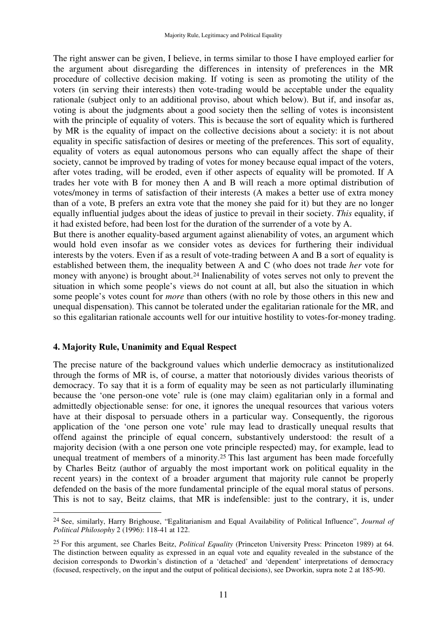The right answer can be given, I believe, in terms similar to those I have employed earlier for the argument about disregarding the differences in intensity of preferences in the MR procedure of collective decision making. If voting is seen as promoting the utility of the voters (in serving their interests) then vote-trading would be acceptable under the equality rationale (subject only to an additional proviso, about which below). But if, and insofar as, voting is about the judgments about a good society then the selling of votes is inconsistent with the principle of equality of voters. This is because the sort of equality which is furthered by MR is the equality of impact on the collective decisions about a society: it is not about equality in specific satisfaction of desires or meeting of the preferences. This sort of equality, equality of voters as equal autonomous persons who can equally affect the shape of their society, cannot be improved by trading of votes for money because equal impact of the voters, after votes trading, will be eroded, even if other aspects of equality will be promoted. If A trades her vote with B for money then A and B will reach a more optimal distribution of votes/money in terms of satisfaction of their interests (A makes a better use of extra money than of a vote, B prefers an extra vote that the money she paid for it) but they are no longer equally influential judges about the ideas of justice to prevail in their society. *This* equality, if it had existed before, had been lost for the duration of the surrender of a vote by A.

But there is another equality-based argument against alienability of votes, an argument which would hold even insofar as we consider votes as devices for furthering their individual interests by the voters. Even if as a result of vote-trading between A and B a sort of equality is established between them, the inequality between A and C (who does not trade *her* vote for money with anyone) is brought about.<sup>24</sup> Inalienability of votes serves not only to prevent the situation in which some people's views do not count at all, but also the situation in which some people's votes count for *more* than others (with no role by those others in this new and unequal dispensation). This cannot be tolerated under the egalitarian rationale for the MR, and so this egalitarian rationale accounts well for our intuitive hostility to votes-for-money trading.

#### **4. Majority Rule, Unanimity and Equal Respect**

-

The precise nature of the background values which underlie democracy as institutionalized through the forms of MR is, of course, a matter that notoriously divides various theorists of democracy. To say that it is a form of equality may be seen as not particularly illuminating because the 'one person-one vote' rule is (one may claim) egalitarian only in a formal and admittedly objectionable sense: for one, it ignores the unequal resources that various voters have at their disposal to persuade others in a particular way. Consequently, the rigorous application of the 'one person one vote' rule may lead to drastically unequal results that offend against the principle of equal concern, substantively understood: the result of a majority decision (with a one person one vote principle respected) may, for example, lead to unequal treatment of members of a minority.25 This last argument has been made forcefully by Charles Beitz (author of arguably the most important work on political equality in the recent years) in the context of a broader argument that majority rule cannot be properly defended on the basis of the more fundamental principle of the equal moral status of persons. This is not to say, Beitz claims, that MR is indefensible: just to the contrary, it is, under

<sup>24</sup> See, similarly, Harry Brighouse, "Egalitarianism and Equal Availability of Political Influence", *Journal of Political Philosophy* 2 (1996): 118-41 at 122.

<sup>25</sup> For this argument, see Charles Beitz, *Political Equality* (Princeton University Press: Princeton 1989) at 64. The distinction between equality as expressed in an equal vote and equality revealed in the substance of the decision corresponds to Dworkin's distinction of a 'detached' and 'dependent' interpretations of democracy (focused, respectively, on the input and the output of political decisions), see Dworkin, supra note 2 at 185-90.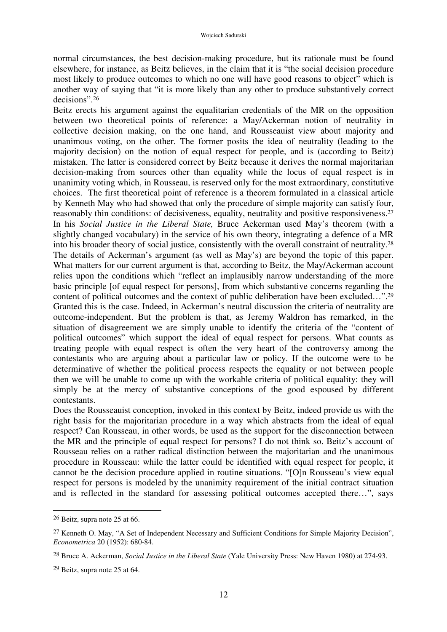normal circumstances, the best decision-making procedure, but its rationale must be found elsewhere, for instance, as Beitz believes, in the claim that it is "the social decision procedure most likely to produce outcomes to which no one will have good reasons to object" which is another way of saying that "it is more likely than any other to produce substantively correct decisions" 26

Beitz erects his argument against the equalitarian credentials of the MR on the opposition between two theoretical points of reference: a May/Ackerman notion of neutrality in collective decision making, on the one hand, and Rousseauist view about majority and unanimous voting, on the other. The former posits the idea of neutrality (leading to the majority decision) on the notion of equal respect for people, and is (according to Beitz) mistaken. The latter is considered correct by Beitz because it derives the normal majoritarian decision-making from sources other than equality while the locus of equal respect is in unanimity voting which, in Rousseau, is reserved only for the most extraordinary, constitutive choices. The first theoretical point of reference is a theorem formulated in a classical article by Kenneth May who had showed that only the procedure of simple majority can satisfy four, reasonably thin conditions: of decisiveness, equality, neutrality and positive responsiveness.<sup>27</sup> In his *Social Justice in the Liberal State,* Bruce Ackerman used May's theorem (with a slightly changed vocabulary) in the service of his own theory, integrating a defence of a MR into his broader theory of social justice, consistently with the overall constraint of neutrality.<sup>28</sup> The details of Ackerman's argument (as well as May's) are beyond the topic of this paper. What matters for our current argument is that, according to Beitz, the May/Ackerman account relies upon the conditions which "reflect an implausibly narrow understanding of the more basic principle [of equal respect for persons], from which substantive concerns regarding the content of political outcomes and the context of public deliberation have been excluded…".<sup>29</sup> Granted this is the case. Indeed, in Ackerman's neutral discussion the criteria of neutrality are outcome-independent. But the problem is that, as Jeremy Waldron has remarked, in the situation of disagreement we are simply unable to identify the criteria of the "content of political outcomes" which support the ideal of equal respect for persons. What counts as treating people with equal respect is often the very heart of the controversy among the contestants who are arguing about a particular law or policy. If the outcome were to be determinative of whether the political process respects the equality or not between people then we will be unable to come up with the workable criteria of political equality: they will simply be at the mercy of substantive conceptions of the good espoused by different contestants.

Does the Rousseauist conception, invoked in this context by Beitz, indeed provide us with the right basis for the majoritarian procedure in a way which abstracts from the ideal of equal respect? Can Rousseau, in other words, be used as the support for the disconnection between the MR and the principle of equal respect for persons? I do not think so. Beitz's account of Rousseau relies on a rather radical distinction between the majoritarian and the unanimous procedure in Rousseau: while the latter could be identified with equal respect for people, it cannot be the decision procedure applied in routine situations. "[O]n Rousseau's view equal respect for persons is modeled by the unanimity requirement of the initial contract situation and is reflected in the standard for assessing political outcomes accepted there…", says

<sup>26</sup> Beitz, supra note 25 at 66.

<sup>27</sup> Kenneth O. May, "A Set of Independent Necessary and Sufficient Conditions for Simple Majority Decision", *Econometrica* 20 (1952): 680-84.

<sup>28</sup> Bruce A. Ackerman, *Social Justice in the Liberal State* (Yale University Press: New Haven 1980) at 274-93.

<sup>29</sup> Beitz, supra note 25 at 64.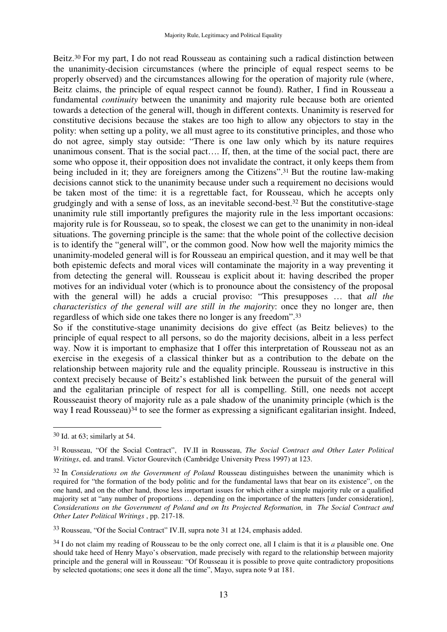Beitz.<sup>30</sup> For my part, I do not read Rousseau as containing such a radical distinction between the unanimity-decision circumstances (where the principle of equal respect seems to be properly observed) and the circumstances allowing for the operation of majority rule (where, Beitz claims, the principle of equal respect cannot be found). Rather, I find in Rousseau a fundamental *continuity* between the unanimity and majority rule because both are oriented towards a detection of the general will, though in different contexts. Unanimity is reserved for constitutive decisions because the stakes are too high to allow any objectors to stay in the polity: when setting up a polity, we all must agree to its constitutive principles, and those who do not agree, simply stay outside: "There is one law only which by its nature requires unanimous consent. That is the social pact…. If, then, at the time of the social pact, there are some who oppose it, their opposition does not invalidate the contract, it only keeps them from being included in it; they are foreigners among the Citizens".<sup>31</sup> But the routine law-making decisions cannot stick to the unanimity because under such a requirement no decisions would be taken most of the time: it is a regrettable fact, for Rousseau, which he accepts only grudgingly and with a sense of loss, as an inevitable second-best.32 But the constitutive-stage unanimity rule still importantly prefigures the majority rule in the less important occasions: majority rule is for Rousseau, so to speak, the closest we can get to the unanimity in non-ideal situations. The governing principle is the same: that the whole point of the collective decision is to identify the "general will", or the common good. Now how well the majority mimics the unanimity-modeled general will is for Rousseau an empirical question, and it may well be that both epistemic defects and moral vices will contaminate the majority in a way preventing it from detecting the general will. Rousseau is explicit about it: having described the proper motives for an individual voter (which is to pronounce about the consistency of the proposal with the general will) he adds a crucial proviso: "This presupposes … that *all the characteristics of the general will are still in the majority*: once they no longer are, then regardless of which side one takes there no longer is any freedom".<sup>33</sup>

So if the constitutive-stage unanimity decisions do give effect (as Beitz believes) to the principle of equal respect to all persons, so do the majority decisions, albeit in a less perfect way. Now it is important to emphasize that I offer this interpretation of Rousseau not as an exercise in the exegesis of a classical thinker but as a contribution to the debate on the relationship between majority rule and the equality principle. Rousseau is instructive in this context precisely because of Beitz's established link between the pursuit of the general will and the egalitarian principle of respect for all is compelling. Still, one needs not accept Rousseauist theory of majority rule as a pale shadow of the unanimity principle (which is the way I read Rousseau)<sup>34</sup> to see the former as expressing a significant egalitarian insight. Indeed,

<sup>30</sup> Id. at 63; similarly at 54.

<sup>31</sup> Rousseau, "Of the Social Contract", IV.II in Rousseau, *The Social Contract and Other Later Political Writings*, ed. and transl. Victor Gourevitch (Cambridge University Press 1997) at 123.

<sup>32</sup> In *Considerations on the Government of Poland* Rousseau distinguishes between the unanimity which is required for "the formation of the body politic and for the fundamental laws that bear on its existence", on the one hand, and on the other hand, those less important issues for which either a simple majority rule or a qualified majority set at "any number of proportions … depending on the importance of the matters [under consideration], *Considerations on the Government of Poland and on Its Projected Reformation,* in *The Social Contract and Other Later Political Writings* , pp. 217-18.

<sup>33</sup> Rousseau, "Of the Social Contract" IV.II, supra note 31 at 124, emphasis added.

<sup>34</sup> I do not claim my reading of Rousseau to be the only correct one, all I claim is that it is *a* plausible one. One should take heed of Henry Mayo's observation, made precisely with regard to the relationship between majority principle and the general will in Rousseau: "Of Rousseau it is possible to prove quite contradictory propositions by selected quotations; one sees it done all the time", Mayo, supra note 9 at 181.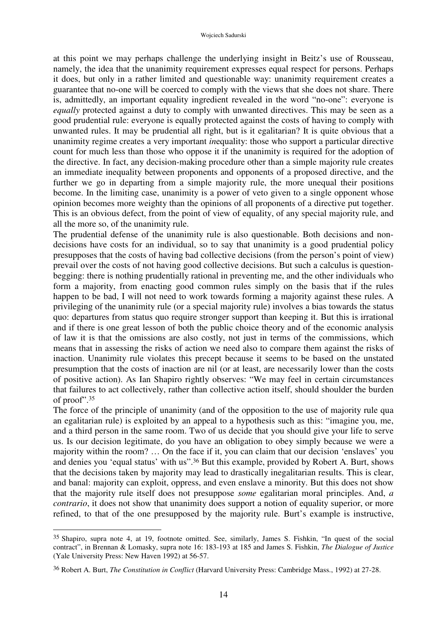at this point we may perhaps challenge the underlying insight in Beitz's use of Rousseau, namely, the idea that the unanimity requirement expresses equal respect for persons. Perhaps it does, but only in a rather limited and questionable way: unanimity requirement creates a guarantee that no-one will be coerced to comply with the views that she does not share. There is, admittedly, an important equality ingredient revealed in the word "no-one": everyone is *equally* protected against a duty to comply with unwanted directives. This may be seen as a good prudential rule: everyone is equally protected against the costs of having to comply with unwanted rules. It may be prudential all right, but is it egalitarian? It is quite obvious that a unanimity regime creates a very important *in*equality: those who support a particular directive count for much less than those who oppose it if the unanimity is required for the adoption of the directive. In fact, any decision-making procedure other than a simple majority rule creates an immediate inequality between proponents and opponents of a proposed directive, and the further we go in departing from a simple majority rule, the more unequal their positions become. In the limiting case, unanimity is a power of veto given to a single opponent whose opinion becomes more weighty than the opinions of all proponents of a directive put together. This is an obvious defect, from the point of view of equality, of any special majority rule, and all the more so, of the unanimity rule.

The prudential defense of the unanimity rule is also questionable. Both decisions and nondecisions have costs for an individual, so to say that unanimity is a good prudential policy presupposes that the costs of having bad collective decisions (from the person's point of view) prevail over the costs of not having good collective decisions. But such a calculus is questionbegging: there is nothing prudentially rational in preventing me, and the other individuals who form a majority, from enacting good common rules simply on the basis that if the rules happen to be bad, I will not need to work towards forming a majority against these rules. A privileging of the unanimity rule (or a special majority rule) involves a bias towards the status quo: departures from status quo require stronger support than keeping it. But this is irrational and if there is one great lesson of both the public choice theory and of the economic analysis of law it is that the omissions are also costly, not just in terms of the commissions, which means that in assessing the risks of action we need also to compare them against the risks of inaction. Unanimity rule violates this precept because it seems to be based on the unstated presumption that the costs of inaction are nil (or at least, are necessarily lower than the costs of positive action). As Ian Shapiro rightly observes: "We may feel in certain circumstances that failures to act collectively, rather than collective action itself, should shoulder the burden of proof".<sup>35</sup>

The force of the principle of unanimity (and of the opposition to the use of majority rule qua an egalitarian rule) is exploited by an appeal to a hypothesis such as this: "imagine you, me, and a third person in the same room. Two of us decide that you should give your life to serve us. Is our decision legitimate, do you have an obligation to obey simply because we were a majority within the room? … On the face if it, you can claim that our decision 'enslaves' you and denies you 'equal status' with us".36 But this example, provided by Robert A. Burt, shows that the decisions taken by majority may lead to drastically inegalitarian results. This is clear, and banal: majority can exploit, oppress, and even enslave a minority. But this does not show that the majority rule itself does not presuppose *some* egalitarian moral principles. And, *a contrario*, it does not show that unanimity does support a notion of equality superior, or more refined, to that of the one presupposed by the majority rule. Burt's example is instructive,

<sup>35</sup> Shapiro, supra note 4, at 19, footnote omitted. See, similarly, James S. Fishkin, "In quest of the social contract", in Brennan & Lomasky, supra note 16: 183-193 at 185 and James S. Fishkin, *The Dialogue of Justice*  (Yale University Press: New Haven 1992) at 56-57.

<sup>36</sup> Robert A. Burt, *The Constitution in Conflict* (Harvard University Press: Cambridge Mass., 1992) at 27-28.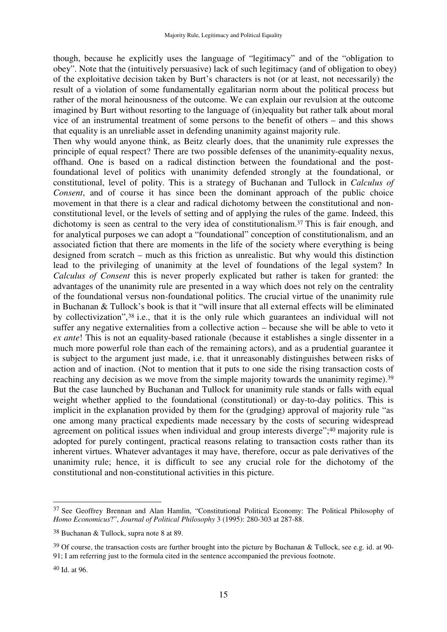though, because he explicitly uses the language of "legitimacy" and of the "obligation to obey". Note that the (intuitively persuasive) lack of such legitimacy (and of obligation to obey) of the exploitative decision taken by Burt's characters is not (or at least, not necessarily) the result of a violation of some fundamentally egalitarian norm about the political process but rather of the moral heinousness of the outcome. We can explain our revulsion at the outcome imagined by Burt without resorting to the language of (in)equality but rather talk about moral vice of an instrumental treatment of some persons to the benefit of others – and this shows that equality is an unreliable asset in defending unanimity against majority rule.

Then why would anyone think, as Beitz clearly does, that the unanimity rule expresses the principle of equal respect? There are two possible defenses of the unanimity-equality nexus, offhand. One is based on a radical distinction between the foundational and the postfoundational level of politics with unanimity defended strongly at the foundational, or constitutional, level of polity. This is a strategy of Buchanan and Tullock in *Calculus of Consent*, and of course it has since been the dominant approach of the public choice movement in that there is a clear and radical dichotomy between the constitutional and nonconstitutional level, or the levels of setting and of applying the rules of the game. Indeed, this dichotomy is seen as central to the very idea of constitutionalism.<sup>37</sup> This is fair enough, and for analytical purposes we can adopt a "foundational" conception of constitutionalism, and an associated fiction that there are moments in the life of the society where everything is being designed from scratch – much as this friction as unrealistic. But why would this distinction lead to the privileging of unanimity at the level of foundations of the legal system? In *Calculus of Consent* this is never properly explicated but rather is taken for granted: the advantages of the unanimity rule are presented in a way which does not rely on the centrality of the foundational versus non-foundational politics. The crucial virtue of the unanimity rule in Buchanan & Tullock's book is that it "will insure that all external effects will be eliminated by collectivization",38 i.e., that it is the only rule which guarantees an individual will not suffer any negative externalities from a collective action – because she will be able to veto it *ex ante*! This is not an equality-based rationale (because it establishes a single dissenter in a much more powerful role than each of the remaining actors), and as a prudential guarantee it is subject to the argument just made, i.e. that it unreasonably distinguishes between risks of action and of inaction. (Not to mention that it puts to one side the rising transaction costs of reaching any decision as we move from the simple majority towards the unanimity regime).<sup>39</sup> But the case launched by Buchanan and Tullock for unanimity rule stands or falls with equal weight whether applied to the foundational (constitutional) or day-to-day politics. This is implicit in the explanation provided by them for the (grudging) approval of majority rule "as one among many practical expedients made necessary by the costs of securing widespread agreement on political issues when individual and group interests diverge"; <sup>40</sup> majority rule is adopted for purely contingent, practical reasons relating to transaction costs rather than its inherent virtues. Whatever advantages it may have, therefore, occur as pale derivatives of the unanimity rule; hence, it is difficult to see any crucial role for the dichotomy of the constitutional and non-constitutional activities in this picture.

<sup>37</sup> See Geoffrey Brennan and Alan Hamlin, "Constitutional Political Economy: The Political Philosophy of *Homo Economicus*?", *Journal of Political Philosophy* 3 (1995): 280-303 at 287-88.

<sup>38</sup> Buchanan & Tullock, supra note 8 at 89.

 $39$  Of course, the transaction costs are further brought into the picture by Buchanan & Tullock, see e.g. id. at 90-91; I am referring just to the formula cited in the sentence accompanied the previous footnote.

<sup>40</sup> Id. at 96.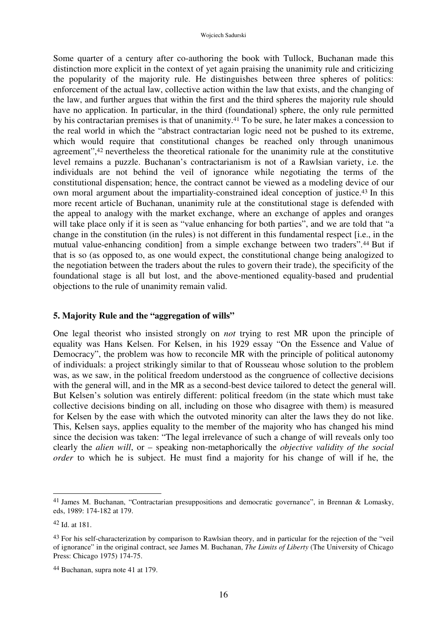Some quarter of a century after co-authoring the book with Tullock, Buchanan made this distinction more explicit in the context of yet again praising the unanimity rule and criticizing the popularity of the majority rule. He distinguishes between three spheres of politics: enforcement of the actual law, collective action within the law that exists, and the changing of the law, and further argues that within the first and the third spheres the majority rule should have no application. In particular, in the third (foundational) sphere, the only rule permitted by his contractarian premises is that of unanimity.41 To be sure, he later makes a concession to the real world in which the "abstract contractarian logic need not be pushed to its extreme, which would require that constitutional changes be reached only through unanimous agreement",42 nevertheless the theoretical rationale for the unanimity rule at the constitutive level remains a puzzle. Buchanan's contractarianism is not of a Rawlsian variety, i.e. the individuals are not behind the veil of ignorance while negotiating the terms of the constitutional dispensation; hence, the contract cannot be viewed as a modeling device of our own moral argument about the impartiality-constrained ideal conception of justice.43 In this more recent article of Buchanan, unanimity rule at the constitutional stage is defended with the appeal to analogy with the market exchange, where an exchange of apples and oranges will take place only if it is seen as "value enhancing for both parties", and we are told that "a change in the constitution (in the rules) is not different in this fundamental respect [i.e., in the mutual value-enhancing condition] from a simple exchange between two traders".44 But if that is so (as opposed to, as one would expect, the constitutional change being analogized to the negotiation between the traders about the rules to govern their trade), the specificity of the foundational stage is all but lost, and the above-mentioned equality-based and prudential objections to the rule of unanimity remain valid.

#### **5. Majority Rule and the "aggregation of wills"**

One legal theorist who insisted strongly on *not* trying to rest MR upon the principle of equality was Hans Kelsen. For Kelsen, in his 1929 essay "On the Essence and Value of Democracy", the problem was how to reconcile MR with the principle of political autonomy of individuals: a project strikingly similar to that of Rousseau whose solution to the problem was, as we saw, in the political freedom understood as the congruence of collective decisions with the general will, and in the MR as a second-best device tailored to detect the general will. But Kelsen's solution was entirely different: political freedom (in the state which must take collective decisions binding on all, including on those who disagree with them) is measured for Kelsen by the ease with which the outvoted minority can alter the laws they do not like. This, Kelsen says, applies equality to the member of the majority who has changed his mind since the decision was taken: "The legal irrelevance of such a change of will reveals only too clearly the *alien will*, or – speaking non-metaphorically the *objective validity of the social order* to which he is subject. He must find a majority for his change of will if he, the

<sup>41</sup> James M. Buchanan, "Contractarian presuppositions and democratic governance", in Brennan & Lomasky, eds, 1989: 174-182 at 179.

<sup>42</sup> Id. at 181.

<sup>43</sup> For his self-characterization by comparison to Rawlsian theory, and in particular for the rejection of the "veil of ignorance" in the original contract, see James M. Buchanan, *The Limits of Liberty* (The University of Chicago Press: Chicago 1975) 174-75.

<sup>44</sup> Buchanan, supra note 41 at 179.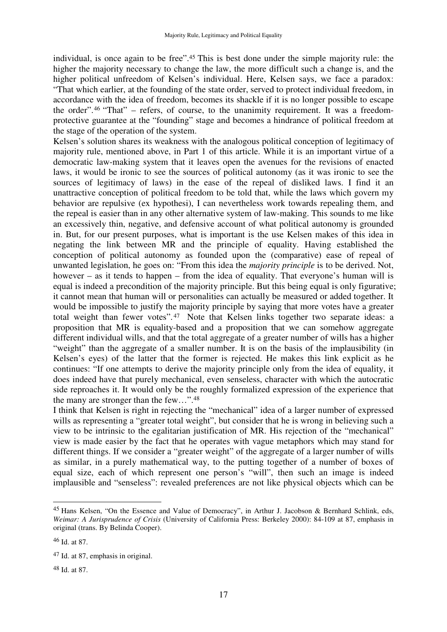individual, is once again to be free".45 This is best done under the simple majority rule: the higher the majority necessary to change the law, the more difficult such a change is, and the higher political unfreedom of Kelsen's individual. Here, Kelsen says, we face a paradox: "That which earlier, at the founding of the state order, served to protect individual freedom, in accordance with the idea of freedom, becomes its shackle if it is no longer possible to escape the order".46 "That" – refers, of course, to the unanimity requirement. It was a freedomprotective guarantee at the "founding" stage and becomes a hindrance of political freedom at the stage of the operation of the system.

Kelsen's solution shares its weakness with the analogous political conception of legitimacy of majority rule, mentioned above, in Part 1 of this article. While it is an important virtue of a democratic law-making system that it leaves open the avenues for the revisions of enacted laws, it would be ironic to see the sources of political autonomy (as it was ironic to see the sources of legitimacy of laws) in the ease of the repeal of disliked laws. I find it an unattractive conception of political freedom to be told that, while the laws which govern my behavior are repulsive (ex hypothesi), I can nevertheless work towards repealing them, and the repeal is easier than in any other alternative system of law-making. This sounds to me like an excessively thin, negative, and defensive account of what political autonomy is grounded in. But, for our present purposes, what is important is the use Kelsen makes of this idea in negating the link between MR and the principle of equality. Having established the conception of political autonomy as founded upon the (comparative) ease of repeal of unwanted legislation, he goes on: "From this idea the *majority principle* is to be derived. Not, however – as it tends to happen – from the idea of equality. That everyone's human will is equal is indeed a precondition of the majority principle. But this being equal is only figurative; it cannot mean that human will or personalities can actually be measured or added together. It would be impossible to justify the majority principle by saying that more votes have a greater total weight than fewer votes".<sup>47</sup> Note that Kelsen links together two separate ideas: a proposition that MR is equality-based and a proposition that we can somehow aggregate different individual wills, and that the total aggregate of a greater number of wills has a higher "weight" than the aggregate of a smaller number. It is on the basis of the implausibility (in Kelsen's eyes) of the latter that the former is rejected. He makes this link explicit as he continues: "If one attempts to derive the majority principle only from the idea of equality, it does indeed have that purely mechanical, even senseless, character with which the autocratic side reproaches it. It would only be the roughly formalized expression of the experience that the many are stronger than the few…".<sup>48</sup>

I think that Kelsen is right in rejecting the "mechanical" idea of a larger number of expressed wills as representing a "greater total weight", but consider that he is wrong in believing such a view to be intrinsic to the egalitarian justification of MR. His rejection of the "mechanical" view is made easier by the fact that he operates with vague metaphors which may stand for different things. If we consider a "greater weight" of the aggregate of a larger number of wills as similar, in a purely mathematical way, to the putting together of a number of boxes of equal size, each of which represent one person's "will", then such an image is indeed implausible and "senseless": revealed preferences are not like physical objects which can be

<sup>45</sup> Hans Kelsen, "On the Essence and Value of Democracy", in Arthur J. Jacobson & Bernhard Schlink, eds, *Weimar: A Jurisprudence of Crisis* (University of California Press: Berkeley 2000): 84-109 at 87, emphasis in original (trans. By Belinda Cooper).

<sup>46</sup> Id. at 87.

<sup>47</sup> Id. at 87, emphasis in original.

<sup>48</sup> Id. at 87.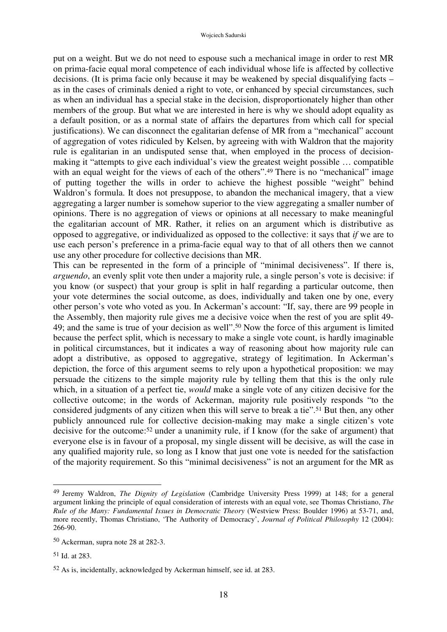put on a weight. But we do not need to espouse such a mechanical image in order to rest MR on prima-facie equal moral competence of each individual whose life is affected by collective decisions. (It is prima facie only because it may be weakened by special disqualifying facts – as in the cases of criminals denied a right to vote, or enhanced by special circumstances, such as when an individual has a special stake in the decision, disproportionately higher than other members of the group. But what we are interested in here is why we should adopt equality as a default position, or as a normal state of affairs the departures from which call for special justifications). We can disconnect the egalitarian defense of MR from a "mechanical" account of aggregation of votes ridiculed by Kelsen, by agreeing with with Waldron that the majority rule is egalitarian in an undisputed sense that, when employed in the process of decisionmaking it "attempts to give each individual's view the greatest weight possible … compatible with an equal weight for the views of each of the others".<sup>49</sup> There is no "mechanical" image of putting together the wills in order to achieve the highest possible "weight" behind Waldron's formula. It does not presuppose, to abandon the mechanical imagery, that a view aggregating a larger number is somehow superior to the view aggregating a smaller number of opinions. There is no aggregation of views or opinions at all necessary to make meaningful the egalitarian account of MR. Rather, it relies on an argument which is distributive as opposed to aggregative, or individualized as opposed to the collective: it says that *if* we are to use each person's preference in a prima-facie equal way to that of all others then we cannot use any other procedure for collective decisions than MR.

This can be represented in the form of a principle of "minimal decisiveness". If there is, *arguendo*, an evenly split vote then under a majority rule, a single person's vote is decisive: if you know (or suspect) that your group is split in half regarding a particular outcome, then your vote determines the social outcome, as does, individually and taken one by one, every other person's vote who voted as you. In Ackerman's account: "If, say, there are 99 people in the Assembly, then majority rule gives me a decisive voice when the rest of you are split 49- 49; and the same is true of your decision as well".50 Now the force of this argument is limited because the perfect split, which is necessary to make a single vote count, is hardly imaginable in political circumstances, but it indicates a way of reasoning about how majority rule can adopt a distributive, as opposed to aggregative, strategy of legitimation. In Ackerman's depiction, the force of this argument seems to rely upon a hypothetical proposition: we may persuade the citizens to the simple majority rule by telling them that this is the only rule which, in a situation of a perfect tie, *would* make a single vote of any citizen decisive for the collective outcome; in the words of Ackerman, majority rule positively responds "to the considered judgments of any citizen when this will serve to break a tie".<sup>51</sup> But then, any other publicly announced rule for collective decision-making may make a single citizen's vote decisive for the outcome:52 under a unanimity rule, if I know (for the sake of argument) that everyone else is in favour of a proposal, my single dissent will be decisive, as will the case in any qualified majority rule, so long as I know that just one vote is needed for the satisfaction of the majority requirement. So this "minimal decisiveness" is not an argument for the MR as

<sup>49</sup> Jeremy Waldron, *The Dignity of Legislation* (Cambridge University Press 1999) at 148; for a general argument linking the principle of equal consideration of interests with an equal vote, see Thomas Christiano, *The Rule of the Many: Fundamental Issues in Democratic Theory* (Westview Press: Boulder 1996) at 53-71, and, more recently, Thomas Christiano, 'The Authority of Democracy', *Journal of Political Philosophy* 12 (2004): 266-90.

<sup>50</sup> Ackerman, supra note 28 at 282-3.

<sup>51</sup> Id. at 283.

<sup>52</sup> As is, incidentally, acknowledged by Ackerman himself, see id. at 283.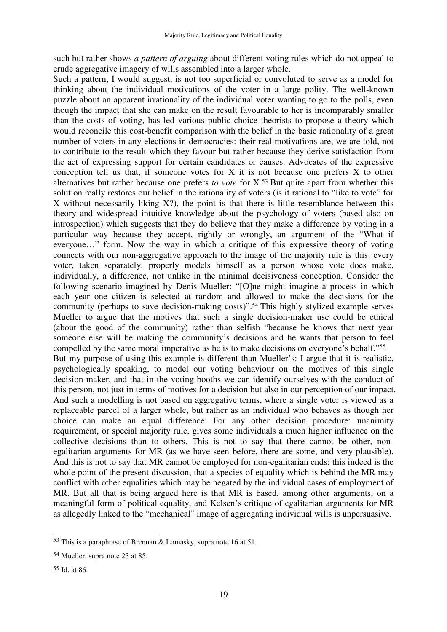such but rather shows *a pattern of arguing* about different voting rules which do not appeal to crude aggregative imagery of wills assembled into a larger whole.

Such a pattern, I would suggest, is not too superficial or convoluted to serve as a model for thinking about the individual motivations of the voter in a large polity. The well-known puzzle about an apparent irrationality of the individual voter wanting to go to the polls, even though the impact that she can make on the result favourable to her is incomparably smaller than the costs of voting, has led various public choice theorists to propose a theory which would reconcile this cost-benefit comparison with the belief in the basic rationality of a great number of voters in any elections in democracies: their real motivations are, we are told, not to contribute to the result which they favour but rather because they derive satisfaction from the act of expressing support for certain candidates or causes. Advocates of the expressive conception tell us that, if someone votes for X it is not because one prefers X to other alternatives but rather because one prefers *to vote* for X.53 But quite apart from whether this solution really restores our belief in the rationality of voters (is it rational to "like to vote" for X without necessarily liking X?), the point is that there is little resemblance between this theory and widespread intuitive knowledge about the psychology of voters (based also on introspection) which suggests that they do believe that they make a difference by voting in a particular way because they accept, rightly or wrongly, an argument of the "What if everyone…" form. Now the way in which a critique of this expressive theory of voting connects with our non-aggregative approach to the image of the majority rule is this: every voter, taken separately, properly models himself as a person whose vote does make, individually, a difference, not unlike in the minimal decisiveness conception. Consider the following scenario imagined by Denis Mueller: "[O]ne might imagine a process in which each year one citizen is selected at random and allowed to make the decisions for the community (perhaps to save decision-making costs)".54 This highly stylized example serves Mueller to argue that the motives that such a single decision-maker use could be ethical (about the good of the community) rather than selfish "because he knows that next year someone else will be making the community's decisions and he wants that person to feel compelled by the same moral imperative as he is to make decisions on everyone's behalf."<sup>55</sup> But my purpose of using this example is different than Mueller's: I argue that it is realistic, psychologically speaking, to model our voting behaviour on the motives of this single decision-maker, and that in the voting booths we can identify ourselves with the conduct of this person, not just in terms of motives for a decision but also in our perception of our impact. And such a modelling is not based on aggregative terms, where a single voter is viewed as a replaceable parcel of a larger whole, but rather as an individual who behaves as though her choice can make an equal difference. For any other decision procedure: unanimity requirement, or special majority rule, gives some individuals a much higher influence on the collective decisions than to others. This is not to say that there cannot be other, nonegalitarian arguments for MR (as we have seen before, there are some, and very plausible). And this is not to say that MR cannot be employed for non-egalitarian ends: this indeed is the whole point of the present discussion, that a species of equality which is behind the MR may conflict with other equalities which may be negated by the individual cases of employment of MR. But all that is being argued here is that MR is based, among other arguments, on a meaningful form of political equality, and Kelsen's critique of egalitarian arguments for MR as allegedly linked to the "mechanical" image of aggregating individual wills is unpersuasive.

<sup>53</sup> This is a paraphrase of Brennan & Lomasky, supra note 16 at 51.

<sup>54</sup> Mueller, supra note 23 at 85.

<sup>55</sup> Id. at 86.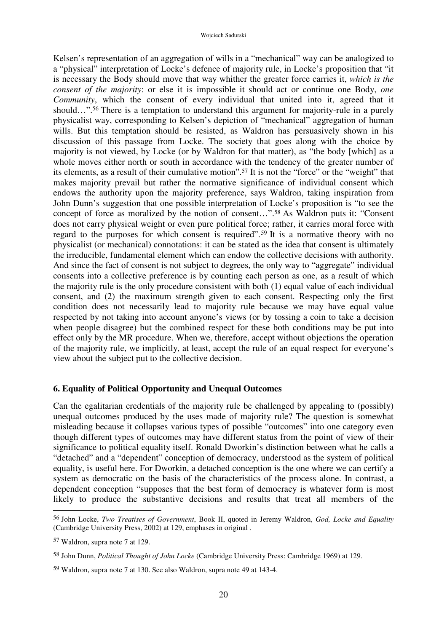Kelsen's representation of an aggregation of wills in a "mechanical" way can be analogized to a "physical" interpretation of Locke's defence of majority rule, in Locke's proposition that "it is necessary the Body should move that way whither the greater force carries it, *which is the consent of the majority*: or else it is impossible it should act or continue one Body, *one Community*, which the consent of every individual that united into it, agreed that it should…".<sup>56</sup> There is a temptation to understand this argument for majority-rule in a purely physicalist way, corresponding to Kelsen's depiction of "mechanical" aggregation of human wills. But this temptation should be resisted, as Waldron has persuasively shown in his discussion of this passage from Locke. The society that goes along with the choice by majority is not viewed, by Locke (or by Waldron for that matter), as "the body [which] as a whole moves either north or south in accordance with the tendency of the greater number of its elements, as a result of their cumulative motion".57 It is not the "force" or the "weight" that makes majority prevail but rather the normative significance of individual consent which endows the authority upon the majority preference, says Waldron, taking inspiration from John Dunn's suggestion that one possible interpretation of Locke's proposition is "to see the concept of force as moralized by the notion of consent…".58 As Waldron puts it: "Consent does not carry physical weight or even pure political force; rather, it carries moral force with regard to the purposes for which consent is required".59 It is a normative theory with no physicalist (or mechanical) connotations: it can be stated as the idea that consent is ultimately the irreducible, fundamental element which can endow the collective decisions with authority. And since the fact of consent is not subject to degrees, the only way to "aggregate" individual consents into a collective preference is by counting each person as one, as a result of which the majority rule is the only procedure consistent with both (1) equal value of each individual consent, and (2) the maximum strength given to each consent. Respecting only the first condition does not necessarily lead to majority rule because we may have equal value respected by not taking into account anyone's views (or by tossing a coin to take a decision when people disagree) but the combined respect for these both conditions may be put into effect only by the MR procedure. When we, therefore, accept without objections the operation of the majority rule, we implicitly, at least, accept the rule of an equal respect for everyone's view about the subject put to the collective decision.

#### **6. Equality of Political Opportunity and Unequal Outcomes**

Can the egalitarian credentials of the majority rule be challenged by appealing to (possibly) unequal outcomes produced by the uses made of majority rule? The question is somewhat misleading because it collapses various types of possible "outcomes" into one category even though different types of outcomes may have different status from the point of view of their significance to political equality itself. Ronald Dworkin's distinction between what he calls a "detached" and a "dependent" conception of democracy, understood as the system of political equality, is useful here. For Dworkin, a detached conception is the one where we can certify a system as democratic on the basis of the characteristics of the process alone. In contrast, a dependent conception "supposes that the best form of democracy is whatever form is most likely to produce the substantive decisions and results that treat all members of the

<sup>56</sup> John Locke, *Two Treatises of Government*, Book II, quoted in Jeremy Waldron, *God, Locke and Equality* (Cambridge University Press, 2002) at 129, emphases in original .

<sup>57</sup> Waldron, supra note 7 at 129.

<sup>58</sup> John Dunn, *Political Thought of John Locke* (Cambridge University Press: Cambridge 1969) at 129.

<sup>59</sup> Waldron, supra note 7 at 130. See also Waldron, supra note 49 at 143-4.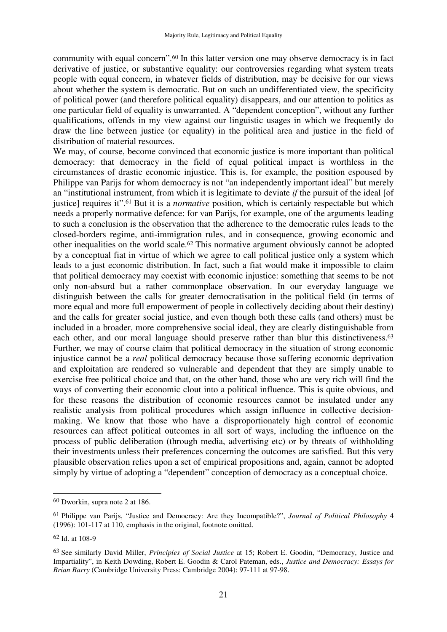community with equal concern".60 In this latter version one may observe democracy is in fact derivative of justice, or substantive equality: our controversies regarding what system treats people with equal concern, in whatever fields of distribution, may be decisive for our views about whether the system is democratic. But on such an undifferentiated view, the specificity of political power (and therefore political equality) disappears, and our attention to politics as one particular field of equality is unwarranted. A "dependent conception", without any further qualifications, offends in my view against our linguistic usages in which we frequently do draw the line between justice (or equality) in the political area and justice in the field of distribution of material resources.

We may, of course, become convinced that economic justice is more important than political democracy: that democracy in the field of equal political impact is worthless in the circumstances of drastic economic injustice. This is, for example, the position espoused by Philippe van Parijs for whom democracy is not "an independently important ideal" but merely an "institutional instrument, from which it is legitimate to deviate *if* the pursuit of the ideal [of justice] requires it".61 But it is a *normative* position, which is certainly respectable but which needs a properly normative defence: for van Parijs, for example, one of the arguments leading to such a conclusion is the observation that the adherence to the democratic rules leads to the closed-borders regime, anti-immigration rules, and in consequence, growing economic and other inequalities on the world scale.62 This normative argument obviously cannot be adopted by a conceptual fiat in virtue of which we agree to call political justice only a system which leads to a just economic distribution. In fact, such a fiat would make it impossible to claim that political democracy may coexist with economic injustice: something that seems to be not only non-absurd but a rather commonplace observation. In our everyday language we distinguish between the calls for greater democratisation in the political field (in terms of more equal and more full empowerment of people in collectively deciding about their destiny) and the calls for greater social justice, and even though both these calls (and others) must be included in a broader, more comprehensive social ideal, they are clearly distinguishable from each other, and our moral language should preserve rather than blur this distinctiveness.<sup>63</sup> Further, we may of course claim that political democracy in the situation of strong economic injustice cannot be a *real* political democracy because those suffering economic deprivation and exploitation are rendered so vulnerable and dependent that they are simply unable to exercise free political choice and that, on the other hand, those who are very rich will find the ways of converting their economic clout into a political influence. This is quite obvious, and for these reasons the distribution of economic resources cannot be insulated under any realistic analysis from political procedures which assign influence in collective decisionmaking. We know that those who have a disproportionately high control of economic resources can affect political outcomes in all sort of ways, including the influence on the process of public deliberation (through media, advertising etc) or by threats of withholding their investments unless their preferences concerning the outcomes are satisfied. But this very plausible observation relies upon a set of empirical propositions and, again, cannot be adopted simply by virtue of adopting a "dependent" conception of democracy as a conceptual choice.

<sup>60</sup> Dworkin, supra note 2 at 186.

<sup>61</sup> Philippe van Parijs, "Justice and Democracy: Are they Incompatible?", *Journal of Political Philosophy* 4 (1996): 101-117 at 110, emphasis in the original, footnote omitted.

<sup>62</sup> Id. at 108-9

<sup>63</sup> See similarly David Miller, *Principles of Social Justice* at 15; Robert E. Goodin, "Democracy, Justice and Impartiality", in Keith Dowding, Robert E. Goodin & Carol Pateman, eds., *Justice and Democracy: Essays for Brian Barry* (Cambridge University Press: Cambridge 2004): 97-111 at 97-98.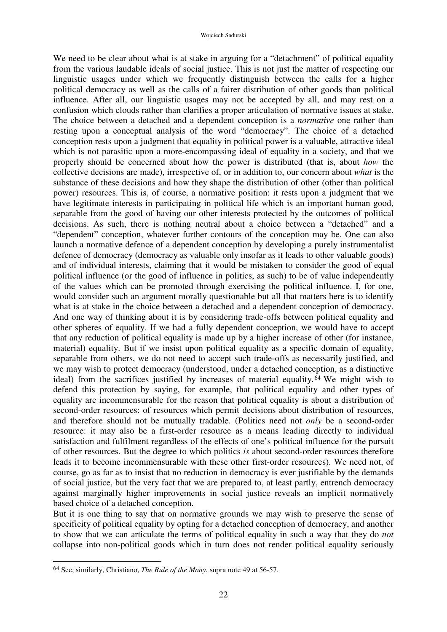We need to be clear about what is at stake in arguing for a "detachment" of political equality from the various laudable ideals of social justice. This is not just the matter of respecting our linguistic usages under which we frequently distinguish between the calls for a higher political democracy as well as the calls of a fairer distribution of other goods than political influence. After all, our linguistic usages may not be accepted by all, and may rest on a confusion which clouds rather than clarifies a proper articulation of normative issues at stake. The choice between a detached and a dependent conception is a *normative* one rather than resting upon a conceptual analysis of the word "democracy". The choice of a detached conception rests upon a judgment that equality in political power is a valuable, attractive ideal which is not parasitic upon a more-encompassing ideal of equality in a society, and that we properly should be concerned about how the power is distributed (that is, about *how* the collective decisions are made), irrespective of, or in addition to, our concern about *what* is the substance of these decisions and how they shape the distribution of other (other than political power) resources. This is, of course, a normative position: it rests upon a judgment that we have legitimate interests in participating in political life which is an important human good, separable from the good of having our other interests protected by the outcomes of political decisions. As such, there is nothing neutral about a choice between a "detached" and a "dependent" conception, whatever further contours of the conception may be. One can also launch a normative defence of a dependent conception by developing a purely instrumentalist defence of democracy (democracy as valuable only insofar as it leads to other valuable goods) and of individual interests, claiming that it would be mistaken to consider the good of equal political influence (or the good of influence in politics, as such) to be of value independently of the values which can be promoted through exercising the political influence. I, for one, would consider such an argument morally questionable but all that matters here is to identify what is at stake in the choice between a detached and a dependent conception of democracy. And one way of thinking about it is by considering trade-offs between political equality and other spheres of equality. If we had a fully dependent conception, we would have to accept that any reduction of political equality is made up by a higher increase of other (for instance, material) equality. But if we insist upon political equality as a specific domain of equality, separable from others, we do not need to accept such trade-offs as necessarily justified, and we may wish to protect democracy (understood, under a detached conception, as a distinctive ideal) from the sacrifices justified by increases of material equality.64 We might wish to defend this protection by saying, for example, that political equality and other types of equality are incommensurable for the reason that political equality is about a distribution of second-order resources: of resources which permit decisions about distribution of resources, and therefore should not be mutually tradable. (Politics need not *only* be a second-order resource: it may also be a first-order resource as a means leading directly to individual satisfaction and fulfilment regardless of the effects of one's political influence for the pursuit of other resources. But the degree to which politics *is* about second-order resources therefore leads it to become incommensurable with these other first-order resources). We need not, of course, go as far as to insist that no reduction in democracy is ever justifiable by the demands of social justice, but the very fact that we are prepared to, at least partly, entrench democracy against marginally higher improvements in social justice reveals an implicit normatively based choice of a detached conception.

But it is one thing to say that on normative grounds we may wish to preserve the sense of specificity of political equality by opting for a detached conception of democracy, and another to show that we can articulate the terms of political equality in such a way that they do *not* collapse into non-political goods which in turn does not render political equality seriously

1

<sup>64</sup> See, similarly, Christiano, *The Rule of the Many*, supra note 49 at 56-57.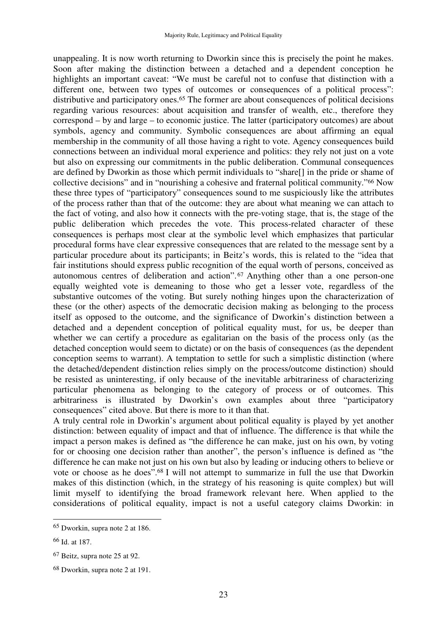unappealing. It is now worth returning to Dworkin since this is precisely the point he makes. Soon after making the distinction between a detached and a dependent conception he highlights an important caveat: "We must be careful not to confuse that distinction with a different one, between two types of outcomes or consequences of a political process": distributive and participatory ones.<sup>65</sup> The former are about consequences of political decisions regarding various resources: about acquisition and transfer of wealth, etc., therefore they correspond – by and large – to economic justice. The latter (participatory outcomes) are about symbols, agency and community. Symbolic consequences are about affirming an equal membership in the community of all those having a right to vote. Agency consequences build connections between an individual moral experience and politics: they rely not just on a vote but also on expressing our commitments in the public deliberation. Communal consequences are defined by Dworkin as those which permit individuals to "share[] in the pride or shame of collective decisions" and in "nourishing a cohesive and fraternal political community."66 Now these three types of "participatory" consequences sound to me suspiciously like the attributes of the process rather than that of the outcome: they are about what meaning we can attach to the fact of voting, and also how it connects with the pre-voting stage, that is, the stage of the public deliberation which precedes the vote. This process-related character of these consequences is perhaps most clear at the symbolic level which emphasizes that particular procedural forms have clear expressive consequences that are related to the message sent by a particular procedure about its participants; in Beitz's words, this is related to the "idea that fair institutions should express public recognition of the equal worth of persons, conceived as autonomous centres of deliberation and action". <sup>67</sup> Anything other than a one person-one equally weighted vote is demeaning to those who get a lesser vote, regardless of the substantive outcomes of the voting. But surely nothing hinges upon the characterization of these (or the other) aspects of the democratic decision making as belonging to the process itself as opposed to the outcome, and the significance of Dworkin's distinction between a detached and a dependent conception of political equality must, for us, be deeper than whether we can certify a procedure as egalitarian on the basis of the process only (as the detached conception would seem to dictate) or on the basis of consequences (as the dependent conception seems to warrant). A temptation to settle for such a simplistic distinction (where the detached/dependent distinction relies simply on the process/outcome distinction) should be resisted as uninteresting, if only because of the inevitable arbitrariness of characterizing particular phenomena as belonging to the category of process or of outcomes. This arbitrariness is illustrated by Dworkin's own examples about three "participatory consequences" cited above. But there is more to it than that.

A truly central role in Dworkin's argument about political equality is played by yet another distinction: between equality of impact and that of influence. The difference is that while the impact a person makes is defined as "the difference he can make, just on his own, by voting for or choosing one decision rather than another", the person's influence is defined as "the difference he can make not just on his own but also by leading or inducing others to believe or vote or choose as he does".68 I will not attempt to summarize in full the use that Dworkin makes of this distinction (which, in the strategy of his reasoning is quite complex) but will limit myself to identifying the broad framework relevant here. When applied to the considerations of political equality, impact is not a useful category claims Dworkin: in

<sup>65</sup> Dworkin, supra note 2 at 186.

<sup>66</sup> Id. at 187.

<sup>67</sup> Beitz, supra note 25 at 92.

<sup>68</sup> Dworkin, supra note 2 at 191.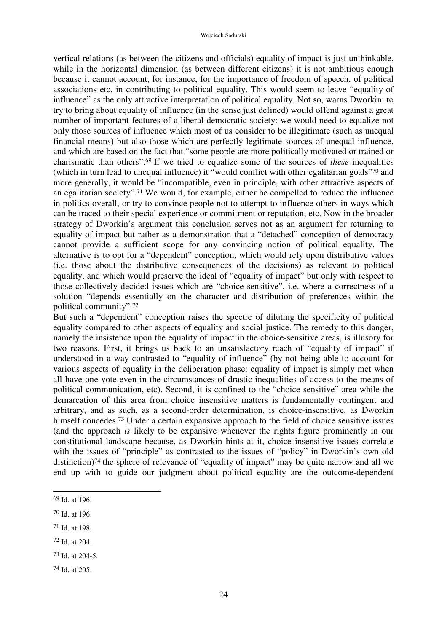vertical relations (as between the citizens and officials) equality of impact is just unthinkable, while in the horizontal dimension (as between different citizens) it is not ambitious enough because it cannot account, for instance, for the importance of freedom of speech, of political associations etc. in contributing to political equality. This would seem to leave "equality of influence" as the only attractive interpretation of political equality. Not so, warns Dworkin: to try to bring about equality of influence (in the sense just defined) would offend against a great number of important features of a liberal-democratic society: we would need to equalize not only those sources of influence which most of us consider to be illegitimate (such as unequal financial means) but also those which are perfectly legitimate sources of unequal influence, and which are based on the fact that "some people are more politically motivated or trained or charismatic than others".69 If we tried to equalize some of the sources of *these* inequalities (which in turn lead to unequal influence) it "would conflict with other egalitarian goals"70 and more generally, it would be "incompatible, even in principle, with other attractive aspects of an egalitarian society".71 We would, for example, either be compelled to reduce the influence in politics overall, or try to convince people not to attempt to influence others in ways which can be traced to their special experience or commitment or reputation, etc. Now in the broader strategy of Dworkin's argument this conclusion serves not as an argument for returning to equality of impact but rather as a demonstration that a "detached" conception of democracy cannot provide a sufficient scope for any convincing notion of political equality. The alternative is to opt for a "dependent" conception, which would rely upon distributive values (i.e. those about the distributive consequences of the decisions) as relevant to political equality, and which would preserve the ideal of "equality of impact" but only with respect to those collectively decided issues which are "choice sensitive", i.e. where a correctness of a solution "depends essentially on the character and distribution of preferences within the political community".<sup>72</sup>

But such a "dependent" conception raises the spectre of diluting the specificity of political equality compared to other aspects of equality and social justice. The remedy to this danger, namely the insistence upon the equality of impact in the choice-sensitive areas, is illusory for two reasons. First, it brings us back to an unsatisfactory reach of "equality of impact" if understood in a way contrasted to "equality of influence" (by not being able to account for various aspects of equality in the deliberation phase: equality of impact is simply met when all have one vote even in the circumstances of drastic inequalities of access to the means of political communication, etc). Second, it is confined to the "choice sensitive" area while the demarcation of this area from choice insensitive matters is fundamentally contingent and arbitrary, and as such, as a second-order determination, is choice-insensitive, as Dworkin himself concedes.<sup>73</sup> Under a certain expansive approach to the field of choice sensitive issues (and the approach *is* likely to be expansive whenever the rights figure prominently in our constitutional landscape because, as Dworkin hints at it, choice insensitive issues correlate with the issues of "principle" as contrasted to the issues of "policy" in Dworkin's own old distinction)<sup>74</sup> the sphere of relevance of "equality of impact" may be quite narrow and all we end up with to guide our judgment about political equality are the outcome-dependent

- <sup>71</sup> Id. at 198.
- <sup>72</sup> Id. at 204.
- <sup>73</sup> Id. at 204-5.

<sup>69</sup> Id. at 196.

<sup>70</sup> Id. at 196

<sup>74</sup> Id. at 205.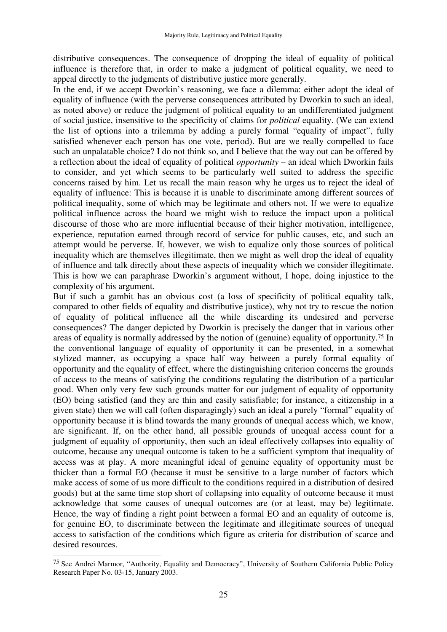distributive consequences. The consequence of dropping the ideal of equality of political influence is therefore that, in order to make a judgment of political equality, we need to appeal directly to the judgments of distributive justice more generally.

In the end, if we accept Dworkin's reasoning, we face a dilemma: either adopt the ideal of equality of influence (with the perverse consequences attributed by Dworkin to such an ideal, as noted above) or reduce the judgment of political equality to an undifferentiated judgment of social justice, insensitive to the specificity of claims for *political* equality. (We can extend the list of options into a trilemma by adding a purely formal "equality of impact", fully satisfied whenever each person has one vote, period). But are we really compelled to face such an unpalatable choice? I do not think so, and I believe that the way out can be offered by a reflection about the ideal of equality of political *opportunity* – an ideal which Dworkin fails to consider, and yet which seems to be particularly well suited to address the specific concerns raised by him. Let us recall the main reason why he urges us to reject the ideal of equality of influence: This is because it is unable to discriminate among different sources of political inequality, some of which may be legitimate and others not. If we were to equalize political influence across the board we might wish to reduce the impact upon a political discourse of those who are more influential because of their higher motivation, intelligence, experience, reputation earned through record of service for public causes, etc, and such an attempt would be perverse. If, however, we wish to equalize only those sources of political inequality which are themselves illegitimate, then we might as well drop the ideal of equality of influence and talk directly about these aspects of inequality which we consider illegitimate. This is how we can paraphrase Dworkin's argument without, I hope, doing injustice to the complexity of his argument.

But if such a gambit has an obvious cost (a loss of specificity of political equality talk, compared to other fields of equality and distributive justice), why not try to rescue the notion of equality of political influence all the while discarding its undesired and perverse consequences? The danger depicted by Dworkin is precisely the danger that in various other areas of equality is normally addressed by the notion of (genuine) equality of opportunity.75 In the conventional language of equality of opportunity it can be presented, in a somewhat stylized manner, as occupying a space half way between a purely formal equality of opportunity and the equality of effect, where the distinguishing criterion concerns the grounds of access to the means of satisfying the conditions regulating the distribution of a particular good. When only very few such grounds matter for our judgment of equality of opportunity (EO) being satisfied (and they are thin and easily satisfiable; for instance, a citizenship in a given state) then we will call (often disparagingly) such an ideal a purely "formal" equality of opportunity because it is blind towards the many grounds of unequal access which, we know, are significant. If, on the other hand, all possible grounds of unequal access count for a judgment of equality of opportunity, then such an ideal effectively collapses into equality of outcome, because any unequal outcome is taken to be a sufficient symptom that inequality of access was at play. A more meaningful ideal of genuine equality of opportunity must be thicker than a formal EO (because it must be sensitive to a large number of factors which make access of some of us more difficult to the conditions required in a distribution of desired goods) but at the same time stop short of collapsing into equality of outcome because it must acknowledge that some causes of unequal outcomes are (or at least, may be) legitimate. Hence, the way of finding a right point between a formal EO and an equality of outcome is, for genuine EO, to discriminate between the legitimate and illegitimate sources of unequal access to satisfaction of the conditions which figure as criteria for distribution of scarce and desired resources.

<sup>75</sup> See Andrei Marmor, "Authority, Equality and Democracy", University of Southern California Public Policy Research Paper No. 03-15, January 2003.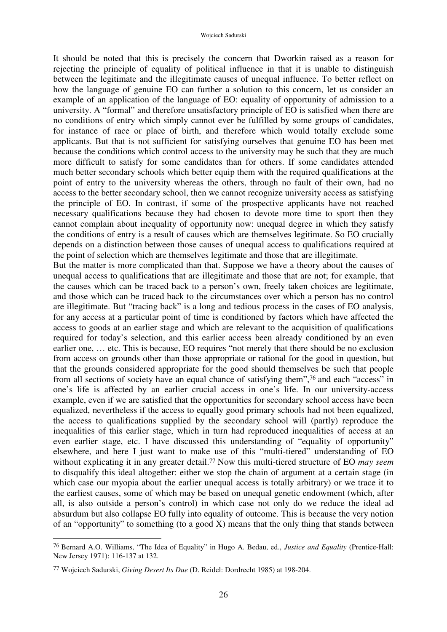It should be noted that this is precisely the concern that Dworkin raised as a reason for rejecting the principle of equality of political influence in that it is unable to distinguish between the legitimate and the illegitimate causes of unequal influence. To better reflect on how the language of genuine EO can further a solution to this concern, let us consider an example of an application of the language of EO: equality of opportunity of admission to a university. A "formal" and therefore unsatisfactory principle of EO is satisfied when there are no conditions of entry which simply cannot ever be fulfilled by some groups of candidates, for instance of race or place of birth, and therefore which would totally exclude some applicants. But that is not sufficient for satisfying ourselves that genuine EO has been met because the conditions which control access to the university may be such that they are much more difficult to satisfy for some candidates than for others. If some candidates attended much better secondary schools which better equip them with the required qualifications at the point of entry to the university whereas the others, through no fault of their own, had no access to the better secondary school, then we cannot recognize university access as satisfying the principle of EO. In contrast, if some of the prospective applicants have not reached necessary qualifications because they had chosen to devote more time to sport then they cannot complain about inequality of opportunity now: unequal degree in which they satisfy the conditions of entry is a result of causes which are themselves legitimate. So EO crucially depends on a distinction between those causes of unequal access to qualifications required at the point of selection which are themselves legitimate and those that are illegitimate.

But the matter is more complicated than that. Suppose we have a theory about the causes of unequal access to qualifications that are illegitimate and those that are not; for example, that the causes which can be traced back to a person's own, freely taken choices are legitimate, and those which can be traced back to the circumstances over which a person has no control are illegitimate. But "tracing back" is a long and tedious process in the cases of EO analysis, for any access at a particular point of time is conditioned by factors which have affected the access to goods at an earlier stage and which are relevant to the acquisition of qualifications required for today's selection, and this earlier access been already conditioned by an even earlier one, … etc. This is because, EO requires "not merely that there should be no exclusion from access on grounds other than those appropriate or rational for the good in question, but that the grounds considered appropriate for the good should themselves be such that people from all sections of society have an equal chance of satisfying them",76 and each "access" in one's life is affected by an earlier crucial access in one's life. In our university-access example, even if we are satisfied that the opportunities for secondary school access have been equalized, nevertheless if the access to equally good primary schools had not been equalized, the access to qualifications supplied by the secondary school will (partly) reproduce the inequalities of this earlier stage, which in turn had reproduced inequalities of access at an even earlier stage, etc. I have discussed this understanding of "equality of opportunity" elsewhere, and here I just want to make use of this "multi-tiered" understanding of EO without explicating it in any greater detail.77 Now this multi-tiered structure of EO *may seem* to disqualify this ideal altogether: either we stop the chain of argument at a certain stage (in which case our myopia about the earlier unequal access is totally arbitrary) or we trace it to the earliest causes, some of which may be based on unequal genetic endowment (which, after all, is also outside a person's control) in which case not only do we reduce the ideal ad absurdum but also collapse EO fully into equality of outcome. This is because the very notion of an "opportunity" to something (to a good  $X$ ) means that the only thing that stands between

<sup>76</sup> Bernard A.O. Williams, "The Idea of Equality" in Hugo A. Bedau, ed., *Justice and Equality* (Prentice-Hall: New Jersey 1971): 116-137 at 132.

<sup>77</sup> Wojciech Sadurski, *Giving Desert Its Due* (D. Reidel: Dordrecht 1985) at 198-204.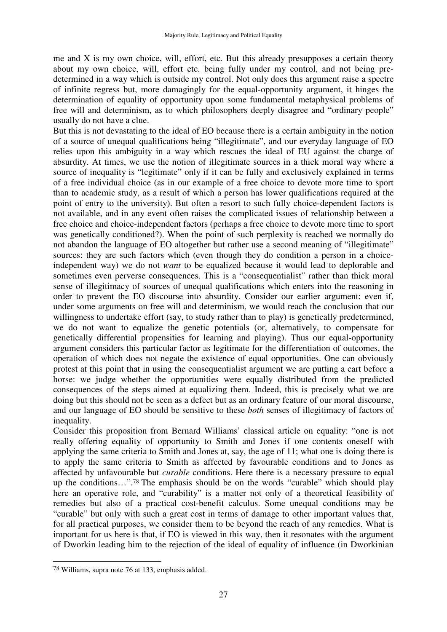me and X is my own choice, will, effort, etc. But this already presupposes a certain theory about my own choice, will, effort etc. being fully under my control, and not being predetermined in a way which is outside my control. Not only does this argument raise a spectre of infinite regress but, more damagingly for the equal-opportunity argument, it hinges the determination of equality of opportunity upon some fundamental metaphysical problems of free will and determinism, as to which philosophers deeply disagree and "ordinary people" usually do not have a clue.

But this is not devastating to the ideal of EO because there is a certain ambiguity in the notion of a source of unequal qualifications being "illegitimate", and our everyday language of EO relies upon this ambiguity in a way which rescues the ideal of EU against the charge of absurdity. At times, we use the notion of illegitimate sources in a thick moral way where a source of inequality is "legitimate" only if it can be fully and exclusively explained in terms of a free individual choice (as in our example of a free choice to devote more time to sport than to academic study, as a result of which a person has lower qualifications required at the point of entry to the university). But often a resort to such fully choice-dependent factors is not available, and in any event often raises the complicated issues of relationship between a free choice and choice-independent factors (perhaps a free choice to devote more time to sport was genetically conditioned?). When the point of such perplexity is reached we normally do not abandon the language of EO altogether but rather use a second meaning of "illegitimate" sources: they are such factors which (even though they do condition a person in a choiceindependent way) we do not *want* to be equalized because it would lead to deplorable and sometimes even perverse consequences. This is a "consequentialist" rather than thick moral sense of illegitimacy of sources of unequal qualifications which enters into the reasoning in order to prevent the EO discourse into absurdity. Consider our earlier argument: even if, under some arguments on free will and determinism, we would reach the conclusion that our willingness to undertake effort (say, to study rather than to play) is genetically predetermined, we do not want to equalize the genetic potentials (or, alternatively, to compensate for genetically differential propensities for learning and playing). Thus our equal-opportunity argument considers this particular factor as legitimate for the differentiation of outcomes, the operation of which does not negate the existence of equal opportunities. One can obviously protest at this point that in using the consequentialist argument we are putting a cart before a horse: we judge whether the opportunities were equally distributed from the predicted consequences of the steps aimed at equalizing them. Indeed, this is precisely what we are doing but this should not be seen as a defect but as an ordinary feature of our moral discourse, and our language of EO should be sensitive to these *both* senses of illegitimacy of factors of inequality.

Consider this proposition from Bernard Williams' classical article on equality: "one is not really offering equality of opportunity to Smith and Jones if one contents oneself with applying the same criteria to Smith and Jones at, say, the age of 11; what one is doing there is to apply the same criteria to Smith as affected by favourable conditions and to Jones as affected by unfavourable but *curable* conditions. Here there is a necessary pressure to equal up the conditions…".78 The emphasis should be on the words "curable" which should play here an operative role, and "curability" is a matter not only of a theoretical feasibility of remedies but also of a practical cost-benefit calculus. Some unequal conditions may be "curable" but only with such a great cost in terms of damage to other important values that, for all practical purposes, we consider them to be beyond the reach of any remedies. What is important for us here is that, if EO is viewed in this way, then it resonates with the argument of Dworkin leading him to the rejection of the ideal of equality of influence (in Dworkinian

1

<sup>78</sup> Williams, supra note 76 at 133, emphasis added.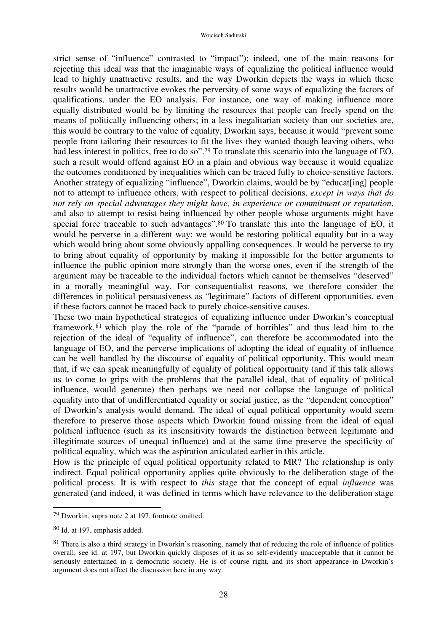strict sense of "influence" contrasted to "impact"); indeed, one of the main reasons for rejecting this ideal was that the imaginable ways of equalizing the political influence would lead to highly unattractive results, and the way Dworkin depicts the ways in which these results would be unattractive evokes the perversity of some ways of equalizing the factors of qualifications, under the EO analysis. For instance, one way of making influence more equally distributed would be by limiting the resources that people can freely spend on the means of politically influencing others; in a less inegalitarian society than our societies are, this would be contrary to the value of equality, Dworkin says, because it would "prevent some people from tailoring their resources to fit the lives they wanted though leaving others, who had less interest in politics, free to do so".<sup>79</sup> To translate this scenario into the language of EO, such a result would offend against EO in a plain and obvious way because it would equalize the outcomes conditioned by inequalities which can be traced fully to choice-sensitive factors. Another strategy of equalizing "influence", Dworkin claims, would be by "educat[ing] people not to attempt to influence others, with respect to political decisions, *except in ways that do not rely on special advantages they might have, in experience or commitment or reputation*, and also to attempt to resist being influenced by other people whose arguments might have special force traceable to such advantages".<sup>80</sup> To translate this into the language of EO, it would be perverse in a different way: we would be restoring political equality but in a way which would bring about some obviously appalling consequences. It would be perverse to try to bring about equality of opportunity by making it impossible for the better arguments to influence the public opinion more strongly than the worse ones, even if the strength of the argument may be traceable to the individual factors which cannot be themselves "deserved" in a morally meaningful way. For consequentialist reasons, we therefore consider the differences in political persuasiveness as "legitimate" factors of different opportunities, even if these factors cannot be traced back to purely choice-sensitive causes.

These two main hypothetical strategies of equalizing influence under Dworkin's conceptual framework, <sup>81</sup> which play the role of the "parade of horribles" and thus lead him to the rejection of the ideal of "equality of influence", can therefore be accommodated into the language of EO, and the perverse implications of adopting the ideal of equality of influence can be well handled by the discourse of equality of political opportunity. This would mean that, if we can speak meaningfully of equality of political opportunity (and if this talk allows us to come to grips with the problems that the parallel ideal, that of equality of political influence, would generate) then perhaps we need not collapse the language of political equality into that of undifferentiated equality or social justice, as the "dependent conception" of Dworkin's analysis would demand. The ideal of equal political opportunity would seem therefore to preserve those aspects which Dworkin found missing from the ideal of equal political influence (such as its insensitivity towards the distinction between legitimate and illegitimate sources of unequal influence) and at the same time preserve the specificity of political equality, which was the aspiration articulated earlier in this article.

How is the principle of equal political opportunity related to MR? The relationship is only indirect. Equal political opportunity applies quite obviously to the deliberation stage of the political process. It is with respect to *this* stage that the concept of equal *influence* was generated (and indeed, it was defined in terms which have relevance to the deliberation stage

<sup>79</sup> Dworkin, supra note 2 at 197, footnote omitted.

<sup>80</sup> Id. at 197, emphasis added.

 $81$  There is also a third strategy in Dworkin's reasoning, namely that of reducing the role of influence of politics overall, see id. at 197, but Dworkin quickly disposes of it as so self-evidently unacceptable that it cannot be seriously entertained in a democratic society. He is of course right, and its short appearance in Dworkin's argument does not affect the discussion here in any way.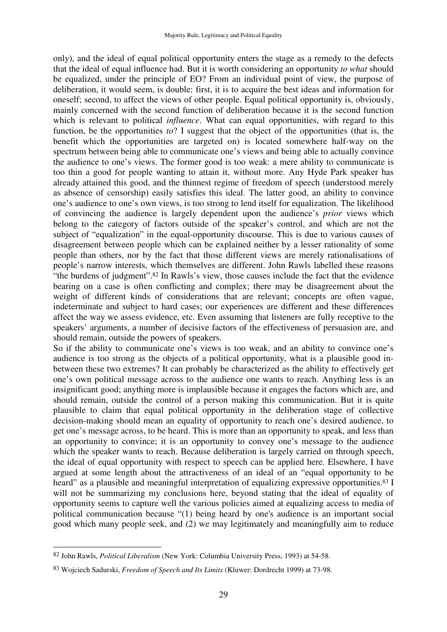only), and the ideal of equal political opportunity enters the stage as a remedy to the defects that the ideal of equal influence had. But it is worth considering an opportunity *to what* should be equalized, under the principle of EO? From an individual point of view, the purpose of deliberation, it would seem, is double: first, it is to acquire the best ideas and information for oneself; second, to affect the views of other people. Equal political opportunity is, obviously, mainly concerned with the second function of deliberation because it is the second function which is relevant to political *influence*. What can equal opportunities, with regard to this function, be the opportunities *to*? I suggest that the object of the opportunities (that is, the benefit which the opportunities are targeted on) is located somewhere half-way on the spectrum between being able to communicate one's views and being able to actually convince the audience to one's views. The former good is too weak: a mere ability to communicate is too thin a good for people wanting to attain it, without more. Any Hyde Park speaker has already attained this good, and the thinnest regime of freedom of speech (understood merely as absence of censorship) easily satisfies this ideal. The latter good, an ability to convince one's audience to one's own views, is too strong to lend itself for equalization. The likelihood of convincing the audience is largely dependent upon the audience's *prior* views which belong to the category of factors outside of the speaker's control, and which are not the subject of "equalization" in the equal-opportunity discourse. This is due to various causes of disagreement between people which can be explained neither by a lesser rationality of some people than others, nor by the fact that those different views are merely rationalisations of people's narrow interests, which themselves are different. John Rawls labelled these reasons "the burdens of judgment".82 In Rawls's view, those causes include the fact that the evidence bearing on a case is often conflicting and complex; there may be disagreement about the weight of different kinds of considerations that are relevant; concepts are often vague, indeterminate and subject to hard cases; our experiences are different and these differences affect the way we assess evidence, etc. Even assuming that listeners are fully receptive to the speakers' arguments, a number of decisive factors of the effectiveness of persuasion are, and should remain, outside the powers of speakers.

So if the ability to communicate one's views is too weak, and an ability to convince one's audience is too strong as the objects of a political opportunity, what is a plausible good inbetween these two extremes? It can probably be characterized as the ability to effectively get one's own political message across to the audience one wants to reach. Anything less is an insignificant good; anything more is implausible because it engages the factors which are, and should remain, outside the control of a person making this communication. But it is quite plausible to claim that equal political opportunity in the deliberation stage of collective decision-making should mean an equality of opportunity to reach one's desired audience, to get one's message across, to be heard. This is more than an opportunity to speak, and less than an opportunity to convince; it is an opportunity to convey one's message to the audience which the speaker wants to reach. Because deliberation is largely carried on through speech, the ideal of equal opportunity with respect to speech can be applied here. Elsewhere, I have argued at some length about the attractiveness of an ideal of an "equal opportunity to be heard" as a plausible and meaningful interpretation of equalizing expressive opportunities.<sup>83</sup> I will not be summarizing my conclusions here, beyond stating that the ideal of equality of opportunity seems to capture well the various policies aimed at equalizing access to media of political communication because "(1) being heard by one's audience is an important social good which many people seek, and (2) we may legitimately and meaningfully aim to reduce

<sup>82</sup> John Rawls, *Political Liberalism* (New York: Columbia University Press, 1993) at 54-58.

<sup>83</sup> Wojciech Sadurski, *Freedom of Speech and Its Limits* (Kluwer: Dordrecht 1999) at 73-98.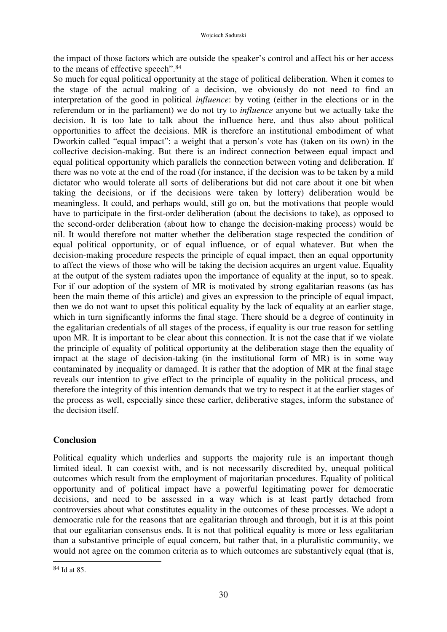the impact of those factors which are outside the speaker's control and affect his or her access to the means of effective speech".<sup>84</sup>

So much for equal political opportunity at the stage of political deliberation. When it comes to the stage of the actual making of a decision, we obviously do not need to find an interpretation of the good in political *influence*: by voting (either in the elections or in the referendum or in the parliament) we do not try to *influence* anyone but we actually take the decision. It is too late to talk about the influence here, and thus also about political opportunities to affect the decisions. MR is therefore an institutional embodiment of what Dworkin called "equal impact": a weight that a person's vote has (taken on its own) in the collective decision-making. But there is an indirect connection between equal impact and equal political opportunity which parallels the connection between voting and deliberation. If there was no vote at the end of the road (for instance, if the decision was to be taken by a mild dictator who would tolerate all sorts of deliberations but did not care about it one bit when taking the decisions, or if the decisions were taken by lottery) deliberation would be meaningless. It could, and perhaps would, still go on, but the motivations that people would have to participate in the first-order deliberation (about the decisions to take), as opposed to the second-order deliberation (about how to change the decision-making process) would be nil. It would therefore not matter whether the deliberation stage respected the condition of equal political opportunity, or of equal influence, or of equal whatever. But when the decision-making procedure respects the principle of equal impact, then an equal opportunity to affect the views of those who will be taking the decision acquires an urgent value. Equality at the output of the system radiates upon the importance of equality at the input, so to speak. For if our adoption of the system of MR is motivated by strong egalitarian reasons (as has been the main theme of this article) and gives an expression to the principle of equal impact, then we do not want to upset this political equality by the lack of equality at an earlier stage, which in turn significantly informs the final stage. There should be a degree of continuity in the egalitarian credentials of all stages of the process, if equality is our true reason for settling upon MR. It is important to be clear about this connection. It is not the case that if we violate the principle of equality of political opportunity at the deliberation stage then the equality of impact at the stage of decision-taking (in the institutional form of MR) is in some way contaminated by inequality or damaged. It is rather that the adoption of MR at the final stage reveals our intention to give effect to the principle of equality in the political process, and therefore the integrity of this intention demands that we try to respect it at the earlier stages of the process as well, especially since these earlier, deliberative stages, inform the substance of the decision itself.

#### **Conclusion**

Political equality which underlies and supports the majority rule is an important though limited ideal. It can coexist with, and is not necessarily discredited by, unequal political outcomes which result from the employment of majoritarian procedures. Equality of political opportunity and of political impact have a powerful legitimating power for democratic decisions, and need to be assessed in a way which is at least partly detached from controversies about what constitutes equality in the outcomes of these processes. We adopt a democratic rule for the reasons that are egalitarian through and through, but it is at this point that our egalitarian consensus ends. It is not that political equality is more or less egalitarian than a substantive principle of equal concern, but rather that, in a pluralistic community, we would not agree on the common criteria as to which outcomes are substantively equal (that is,

<sup>1</sup> <sup>84</sup> Id at 85.